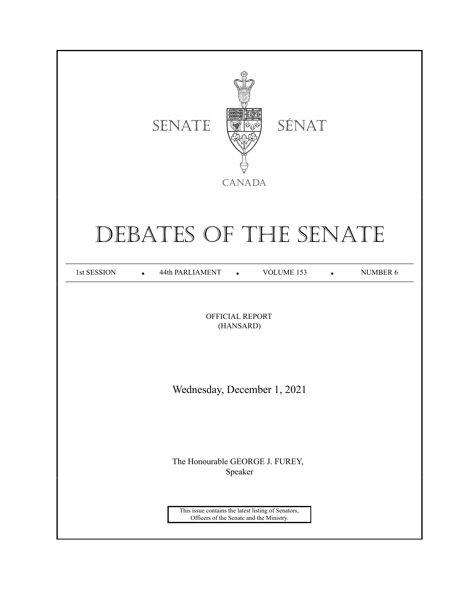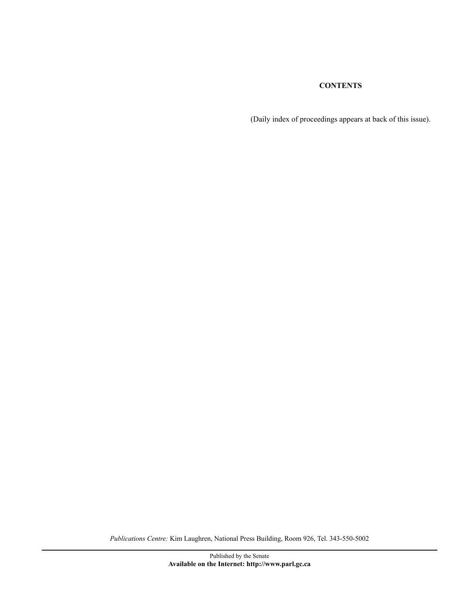# **CONTENTS**

(Daily index of proceedings appears at back of this issue).

*Publications Centre:* Kim Laughren, National Press Building, Room 926, Tel. 343-550-5002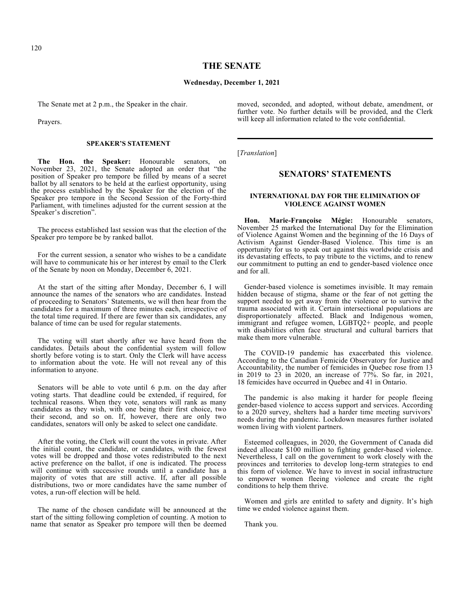## **THE SENATE**

### **Wednesday, December 1, 2021**

The Senate met at 2 p.m., the Speaker in the chair.

Prayers.

### **SPEAKER'S STATEMENT**

**The Hon. the Speaker:** Honourable senators, on November 23, 2021, the Senate adopted an order that "the position of Speaker pro tempore be filled by means of a secret ballot by all senators to be held at the earliest opportunity, using the process established by the Speaker for the election of the Speaker pro tempore in the Second Session of the Forty-third Parliament, with timelines adjusted for the current session at the Speaker's discretion".

The process established last session was that the election of the Speaker pro tempore be by ranked ballot.

For the current session, a senator who wishes to be a candidate will have to communicate his or her interest by email to the Clerk of the Senate by noon on Monday, December 6, 2021.

At the start of the sitting after Monday, December 6, I will announce the names of the senators who are candidates. Instead of proceeding to Senators' Statements, we will then hear from the candidates for a maximum of three minutes each, irrespective of the total time required. If there are fewer than six candidates, any balance of time can be used for regular statements.

The voting will start shortly after we have heard from the candidates. Details about the confidential system will follow shortly before voting is to start. Only the Clerk will have access to information about the vote. He will not reveal any of this information to anyone.

Senators will be able to vote until 6 p.m. on the day after voting starts. That deadline could be extended, if required, for technical reasons. When they vote, senators will rank as many candidates as they wish, with one being their first choice, two their second, and so on. If, however, there are only two candidates, senators will only be asked to select one candidate.

After the voting, the Clerk will count the votes in private. After the initial count, the candidate, or candidates, with the fewest votes will be dropped and those votes redistributed to the next active preference on the ballot, if one is indicated. The process will continue with successive rounds until a candidate has a majority of votes that are still active. If, after all possible distributions, two or more candidates have the same number of votes, a run-off election will be held.

The name of the chosen candidate will be announced at the start of the sitting following completion of counting. A motion to name that senator as Speaker pro tempore will then be deemed moved, seconded, and adopted, without debate, amendment, or further vote. No further details will be provided, and the Clerk will keep all information related to the vote confidential.

[*Translation*]

## **SENATORS' STATEMENTS**

## **INTERNATIONAL DAY FOR THE ELIMINATION OF VIOLENCE AGAINST WOMEN**

**Hon. Marie-Françoise Mégie:** Honourable senators, November 25 marked the International Day for the Elimination of Violence Against Women and the beginning of the 16 Days of Activism Against Gender-Based Violence. This time is an opportunity for us to speak out against this worldwide crisis and its devastating effects, to pay tribute to the victims, and to renew our commitment to putting an end to gender-based violence once and for all.

Gender-based violence is sometimes invisible. It may remain hidden because of stigma, shame or the fear of not getting the support needed to get away from the violence or to survive the trauma associated with it. Certain intersectional populations are disproportionately affected. Black and Indigenous women, immigrant and refugee women, LGBTQ2+ people, and people with disabilities often face structural and cultural barriers that make them more vulnerable.

The COVID-19 pandemic has exacerbated this violence. According to the Canadian Femicide Observatory for Justice and Accountability, the number of femicides in Quebec rose from 13 in 2019 to 23 in 2020, an increase of 77%. So far, in 2021, 18 femicides have occurred in Quebec and 41 in Ontario.

The pandemic is also making it harder for people fleeing gender-based violence to access support and services. According to a 2020 survey, shelters had a harder time meeting survivors' needs during the pandemic. Lockdown measures further isolated women living with violent partners.

Esteemed colleagues, in 2020, the Government of Canada did indeed allocate \$100 million to fighting gender-based violence. Nevertheless, I call on the government to work closely with the provinces and territories to develop long-term strategies to end this form of violence. We have to invest in social infrastructure to empower women fleeing violence and create the right conditions to help them thrive.

Women and girls are entitled to safety and dignity. It's high time we ended violence against them.

Thank you.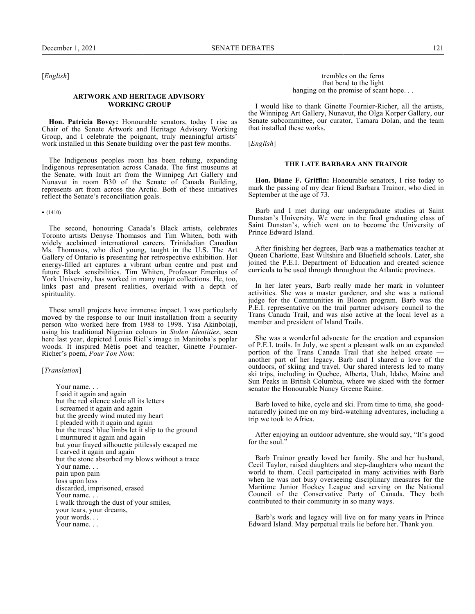[*English*]

#### **ARTWORK AND HERITAGE ADVISORY WORKING GROUP**

**Hon. Patricia Bovey:** Honourable senators, today I rise as Chair of the Senate Artwork and Heritage Advisory Working Group, and I celebrate the poignant, truly meaningful artists' work installed in this Senate building over the past few months.

The Indigenous peoples room has been rehung, expanding Indigenous representation across Canada. The first museums at the Senate, with Inuit art from the Winnipeg Art Gallery and Nunavut in room B30 of the Senate of Canada Building, represents art from across the Arctic. Both of these initiatives reflect the Senate's reconciliation goals.

• (1410)

The second, honouring Canada's Black artists, celebrates Toronto artists Denyse Thomasos and Tim Whiten, both with widely acclaimed international careers. Trinidadian Canadian Ms. Thomasos, who died young, taught in the U.S. The Art Gallery of Ontario is presenting her retrospective exhibition. Her energy-filled art captures a vibrant urban centre and past and future Black sensibilities. Tim Whiten, Professor Emeritus of York University, has worked in many major collections. He, too, links past and present realities, overlaid with a depth of spirituality.

These small projects have immense impact. I was particularly moved by the response to our Inuit installation from a security person who worked here from 1988 to 1998. Yisa Akinbolaji, using his traditional Nigerian colours in *Stolen Identities*, seen here last year, depicted Louis Riel's image in Manitoba's poplar woods. It inspired Métis poet and teacher, Ginette Fournier-Richer's poem, *Pour Ton Nom*:

## [*Translation*]

Your name. . . I said it again and again but the red silence stole all its letters I screamed it again and again but the greedy wind muted my heart I pleaded with it again and again but the trees' blue limbs let it slip to the ground I murmured it again and again but your frayed silhouette pitilessly escaped me I carved it again and again but the stone absorbed my blows without a trace Your name... pain upon pain loss upon loss discarded, imprisoned, erased Your name. . . I walk through the dust of your smiles, your tears, your dreams, your words. . . Your name. . .

trembles on the ferns that bend to the light hanging on the promise of scant hope...

I would like to thank Ginette Fournier-Richer, all the artists, the Winnipeg Art Gallery, Nunavut, the Olga Korper Gallery, our Senate subcommittee, our curator, Tamara Dolan, and the team that installed these works.

[*English*]

#### **THE LATE BARBARA ANN TRAINOR**

**Hon. Diane F. Griffin:** Honourable senators, I rise today to mark the passing of my dear friend Barbara Trainor, who died in September at the age of 73.

Barb and I met during our undergraduate studies at Saint Dunstan's University. We were in the final graduating class of Saint Dunstan's, which went on to become the University of Prince Edward Island.

After finishing her degrees, Barb was a mathematics teacher at Queen Charlotte, East Wiltshire and Bluefield schools. Later, she joined the P.E.I. Department of Education and created science curricula to be used through throughout the Atlantic provinces.

In her later years, Barb really made her mark in volunteer activities. She was a master gardener, and she was a national judge for the Communities in Bloom program. Barb was the P.E.I. representative on the trail partner advisory council to the Trans Canada Trail, and was also active at the local level as a member and president of Island Trails.

She was a wonderful advocate for the creation and expansion of P.E.I. trails. In July, we spent a pleasant walk on an expanded portion of the Trans Canada Trail that she helped create another part of her legacy. Barb and I shared a love of the outdoors, of skiing and travel. Our shared interests led to many ski trips, including in Quebec, Alberta, Utah, Idaho, Maine and Sun Peaks in British Columbia, where we skied with the former senator the Honourable Nancy Greene Raine.

Barb loved to hike, cycle and ski. From time to time, she goodnaturedly joined me on my bird-watching adventures, including a trip we took to Africa.

After enjoying an outdoor adventure, she would say, "It's good for the soul."

Barb Trainor greatly loved her family. She and her husband, Cecil Taylor, raised daughters and step-daughters who meant the world to them. Cecil participated in many activities with Barb when he was not busy overseeing disciplinary measures for the Maritime Junior Hockey League and serving on the National Council of the Conservative Party of Canada. They both contributed to their community in so many ways.

Barb's work and legacy will live on for many years in Prince Edward Island. May perpetual trails lie before her. Thank you.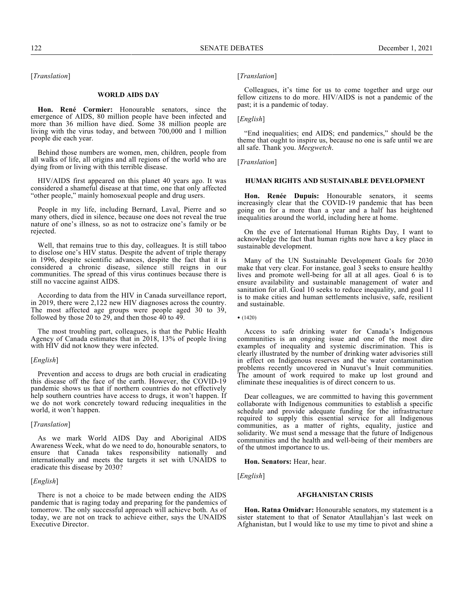[*Translation*]

#### **WORLD AIDS DAY**

**Hon. René Cormier:** Honourable senators, since the emergence of AIDS, 80 million people have been infected and more than 36 million have died. Some 38 million people are living with the virus today, and between 700,000 and 1 million people die each year.

Behind those numbers are women, men, children, people from all walks of life, all origins and all regions of the world who are dying from or living with this terrible disease.

HIV/AIDS first appeared on this planet 40 years ago. It was considered a shameful disease at that time, one that only affected "other people," mainly homosexual people and drug users.

People in my life, including Bernard, Laval, Pierre and so many others, died in silence, because one does not reveal the true nature of one's illness, so as not to ostracize one's family or be rejected.

Well, that remains true to this day, colleagues. It is still taboo to disclose one's HIV status. Despite the advent of triple therapy in 1996, despite scientific advances, despite the fact that it is considered a chronic disease, silence still reigns in our communities. The spread of this virus continues because there is still no vaccine against AIDS.

According to data from the HIV in Canada surveillance report, in 2019, there were 2,122 new HIV diagnoses across the country. The most affected age groups were people aged 30 to 39, followed by those 20 to 29, and then those  $40$  to  $49$ .

The most troubling part, colleagues, is that the Public Health Agency of Canada estimates that in 2018, 13% of people living with HIV did not know they were infected.

#### [*English*]

Prevention and access to drugs are both crucial in eradicating this disease off the face of the earth. However, the COVID-19 pandemic shows us that if northern countries do not effectively help southern countries have access to drugs, it won't happen. If we do not work concretely toward reducing inequalities in the world, it won't happen.

#### [*Translation*]

As we mark World AIDS Day and Aboriginal AIDS Awareness Week, what do we need to do, honourable senators, to ensure that Canada takes responsibility nationally and internationally and meets the targets it set with UNAIDS to eradicate this disease by 2030?

#### [*English*]

There is not a choice to be made between ending the AIDS pandemic that is raging today and preparing for the pandemics of tomorrow. The only successful approach will achieve both. As of today, we are not on track to achieve either, says the UNAIDS Executive Director.

## [*Translation*]

Colleagues, it's time for us to come together and urge our fellow citizens to do more. HIV/AIDS is not a pandemic of the past; it is a pandemic of today.

### [*English*]

"End inequalities; end AIDS; end pandemics," should be the theme that ought to inspire us, because no one is safe until we are all safe. Thank you. *Meegwetch*.

#### [*Translation*]

### **HUMAN RIGHTS AND SUSTAINABLE DEVELOPMENT**

**Hon. Renée Dupuis:** Honourable senators, it seems increasingly clear that the COVID-19 pandemic that has been going on for a more than a year and a half has heightened inequalities around the world, including here at home.

On the eve of International Human Rights Day, I want to acknowledge the fact that human rights now have a key place in sustainable development.

Many of the UN Sustainable Development Goals for 2030 make that very clear. For instance, goal 3 seeks to ensure healthy lives and promote well-being for all at all ages. Goal 6 is to ensure availability and sustainable management of water and sanitation for all. Goal 10 seeks to reduce inequality, and goal 11 is to make cities and human settlements inclusive, safe, resilient and sustainable.

Access to safe drinking water for Canada's Indigenous communities is an ongoing issue and one of the most dire examples of inequality and systemic discrimination. This is clearly illustrated by the number of drinking water advisories still in effect on Indigenous reserves and the water contamination problems recently uncovered in Nunavut's Inuit communities. The amount of work required to make up lost ground and eliminate these inequalities is of direct concern to us.

Dear colleagues, we are committed to having this government collaborate with Indigenous communities to establish a specific schedule and provide adequate funding for the infrastructure required to supply this essential service for all Indigenous communities, as a matter of rights, equality, justice and solidarity. We must send a message that the future of Indigenous communities and the health and well-being of their members are of the utmost importance to us.

**Hon. Senators:** Hear, hear.

[*English*]

#### **AFGHANISTAN CRISIS**

**Hon. Ratna Omidvar:** Honourable senators, my statement is a sister statement to that of Senator Ataullahjan's last week on Afghanistan, but I would like to use my time to pivot and shine a

<sup>• (1420)</sup>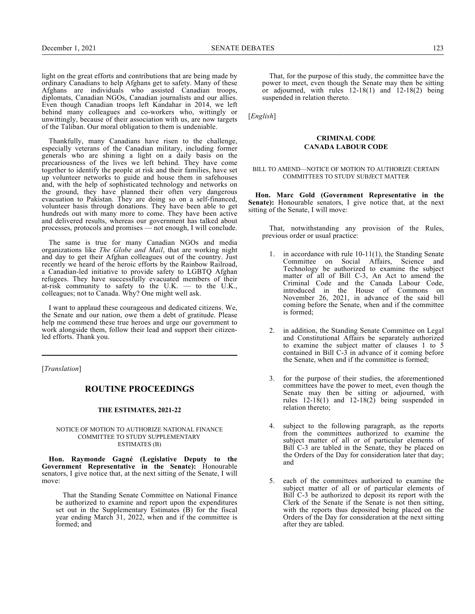light on the great efforts and contributions that are being made by ordinary Canadians to help Afghans get to safety. Many of these Afghans are individuals who assisted Canadian troops, diplomats, Canadian NGOs, Canadian journalists and our allies. Even though Canadian troops left Kandahar in 2014, we left behind many colleagues and co-workers who, wittingly or unwittingly, because of their association with us, are now targets of the Taliban. Our moral obligation to them is undeniable.

Thankfully, many Canadians have risen to the challenge, especially veterans of the Canadian military, including former generals who are shining a light on a daily basis on the precariousness of the lives we left behind. They have come together to identify the people at risk and their families, have set up volunteer networks to guide and house them in safehouses and, with the help of sophisticated technology and networks on the ground, they have planned their often very dangerous evacuation to Pakistan. They are doing so on a self-financed, volunteer basis through donations. They have been able to get hundreds out with many more to come. They have been active and delivered results, whereas our government has talked about processes, protocols and promises — not enough, I will conclude.

The same is true for many Canadian NGOs and media organizations like *The Globe and Mail*, that are working night and day to get their Afghan colleagues out of the country. Just recently we heard of the heroic efforts by the Rainbow Railroad, a Canadian-led initiative to provide safety to LGBTQ Afghan refugees. They have successfully evacuated members of their at-risk community to safety to the U.K.  $-$  to the U.K., colleagues; not to Canada. Why? One might well ask.

I want to applaud these courageous and dedicated citizens. We, the Senate and our nation, owe them a debt of gratitude. Please help me commend these true heroes and urge our government to work alongside them, follow their lead and support their citizenled efforts. Thank you.

[*Translation*]

## **ROUTINE PROCEEDINGS**

## **THE ESTIMATES, 2021-22**

### NOTICE OF MOTION TO AUTHORIZE NATIONAL FINANCE COMMITTEE TO STUDY SUPPLEMENTARY ESTIMATES (B)

**Hon. Raymonde Gagné (Legislative Deputy to the Government Representative in the Senate):** Honourable senators, I give notice that, at the next sitting of the Senate, I will move:

That the Standing Senate Committee on National Finance be authorized to examine and report upon the expenditures set out in the Supplementary Estimates (B) for the fiscal year ending March 31, 2022, when and if the committee is formed; and

That, for the purpose of this study, the committee have the power to meet, even though the Senate may then be sitting or adjourned, with rules  $12-18(1)$  and  $12-18(2)$  being suspended in relation thereto.

[*English*]

#### **CRIMINAL CODE CANADA LABOUR CODE**

#### BILL TO AMEND—NOTICE OF MOTION TO AUTHORIZE CERTAIN COMMITTEES TO STUDY SUBJECT MATTER

**Hon. Marc Gold (Government Representative in the Senate):** Honourable senators, I give notice that, at the next sitting of the Senate, I will move:

That, notwithstanding any provision of the Rules, previous order or usual practice:

- 1. in accordance with rule 10-11(1), the Standing Senate Committee on Social Affairs, Science and Technology be authorized to examine the subject matter of all of Bill C-3, An Act to amend the Criminal Code and the Canada Labour Code, introduced in the House of Commons on November 26, 2021, in advance of the said bill coming before the Senate, when and if the committee is formed;
- 2. in addition, the Standing Senate Committee on Legal and Constitutional Affairs be separately authorized to examine the subject matter of clauses 1 to 5 contained in Bill C-3 in advance of it coming before the Senate, when and if the committee is formed;
- 3. for the purpose of their studies, the aforementioned committees have the power to meet, even though the Senate may then be sitting or adjourned, with rules  $12-18(1)$  and  $12-18(2)$  being suspended in relation thereto;
- 4. subject to the following paragraph, as the reports from the committees authorized to examine the subject matter of all or of particular elements of Bill C-3 are tabled in the Senate, they be placed on the Orders of the Day for consideration later that day; and
- 5. each of the committees authorized to examine the subject matter of all or of particular elements of Bill C-3 be authorized to deposit its report with the Clerk of the Senate if the Senate is not then sitting, with the reports thus deposited being placed on the Orders of the Day for consideration at the next sitting after they are tabled.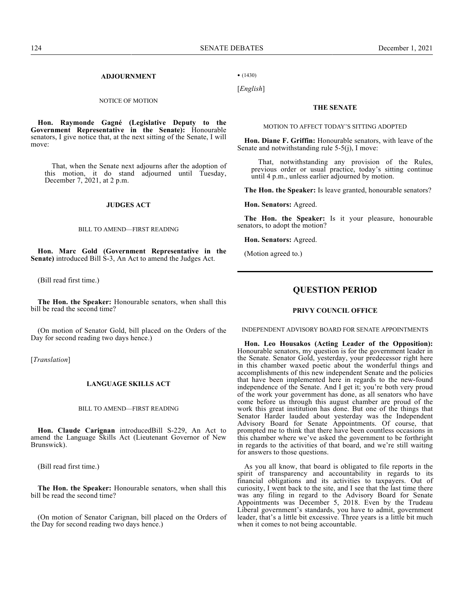## **ADJOURNMENT**

#### NOTICE OF MOTION

**Hon. Raymonde Gagné (Legislative Deputy to the Government Representative in the Senate):** Honourable senators, I give notice that, at the next sitting of the Senate, I will move:

That, when the Senate next adjourns after the adoption of this motion, it do stand adjourned until Tuesday, December 7, 2021, at 2 p.m.

### **JUDGES ACT**

### BILL TO AMEND—FIRST READING

**Hon. Marc Gold (Government Representative in the Senate)** introduced Bill S-3, An Act to amend the Judges Act.

(Bill read first time.)

**The Hon. the Speaker:** Honourable senators, when shall this bill be read the second time?

(On motion of Senator Gold, bill placed on the Orders of the Day for second reading two days hence.)

[*Translation*]

#### **LANGUAGE SKILLS ACT**

#### BILL TO AMEND—FIRST READING

**Hon. Claude Carignan** introducedBill S-229, An Act to amend the Language Skills Act (Lieutenant Governor of New Brunswick).

(Bill read first time.)

**The Hon. the Speaker:** Honourable senators, when shall this bill be read the second time?

(On motion of Senator Carignan, bill placed on the Orders of the Day for second reading two days hence.)

• (1430)

[*English*]

#### **THE SENATE**

#### MOTION TO AFFECT TODAY'S SITTING ADOPTED

**Hon. Diane F. Griffin:** Honourable senators, with leave of the Senate and notwithstanding rule 5-5(j), I move:

That, notwithstanding any provision of the Rules, previous order or usual practice, today's sitting continue until 4 p.m., unless earlier adjourned by motion.

**The Hon. the Speaker:** Is leave granted, honourable senators?

**Hon. Senators:** Agreed.

**The Hon. the Speaker:** Is it your pleasure, honourable senators, to adopt the motion?

**Hon. Senators:** Agreed.

(Motion agreed to.)

## **QUESTION PERIOD**

### **PRIVY COUNCIL OFFICE**

INDEPENDENT ADVISORY BOARD FOR SENATE APPOINTMENTS

**Hon. Leo Housakos (Acting Leader of the Opposition):** Honourable senators, my question is for the government leader in the Senate. Senator Gold, yesterday, your predecessor right here in this chamber waxed poetic about the wonderful things and accomplishments of this new independent Senate and the policies that have been implemented here in regards to the new-found independence of the Senate. And I get it; you're both very proud of the work your government has done, as all senators who have come before us through this august chamber are proud of the work this great institution has done. But one of the things that Senator Harder lauded about yesterday was the Independent Advisory Board for Senate Appointments. Of course, that prompted me to think that there have been countless occasions in this chamber where we've asked the government to be forthright in regards to the activities of that board, and we're still waiting for answers to those questions.

As you all know, that board is obligated to file reports in the spirit of transparency and accountability in regards to its financial obligations and its activities to taxpayers. Out of curiosity, I went back to the site, and I see that the last time there was any filing in regard to the Advisory Board for Senate Appointments was December 5, 2018. Even by the Trudeau Liberal government's standards, you have to admit, government leader, that's a little bit excessive. Three years is a little bit much when it comes to not being accountable.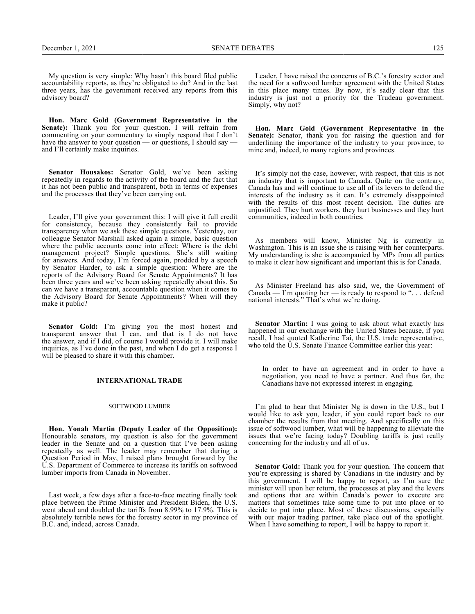My question is very simple: Why hasn't this board filed public accountability reports, as they're obligated to do? And in the last three years, has the government received any reports from this advisory board?

**Hon. Marc Gold (Government Representative in the Senate):** Thank you for your question. I will refrain from commenting on your commentary to simply respond that I don't have the answer to your question — or questions, I should say and I'll certainly make inquiries.

**Senator Housakos:** Senator Gold, we've been asking repeatedly in regards to the activity of the board and the fact that it has not been public and transparent, both in terms of expenses and the processes that they've been carrying out.

Leader, I'll give your government this: I will give it full credit for consistency, because they consistently fail to provide transparency when we ask these simple questions. Yesterday, our colleague Senator Marshall asked again a simple, basic question where the public accounts come into effect: Where is the debt management project? Simple questions. She's still waiting for answers. And today, I'm forced again, prodded by a speech by Senator Harder, to ask a simple question: Where are the reports of the Advisory Board for Senate Appointments? It has been three years and we've been asking repeatedly about this. So can we have a transparent, accountable question when it comes to the Advisory Board for Senate Appointments? When will they make it public?

**Senator Gold:** I'm giving you the most honest and transparent answer that I can, and that is I do not have the answer, and if I did, of course I would provide it. I will make inquiries, as I've done in the past, and when I do get a response I will be pleased to share it with this chamber.

### **INTERNATIONAL TRADE**

## SOFTWOOD LUMBER

**Hon. Yonah Martin (Deputy Leader of the Opposition):** Honourable senators, my question is also for the government leader in the Senate and on a question that I've been asking repeatedly as well. The leader may remember that during a Question Period in May, I raised plans brought forward by the U.S. Department of Commerce to increase its tariffs on softwood lumber imports from Canada in November.

Last week, a few days after a face-to-face meeting finally took place between the Prime Minister and President Biden, the U.S. went ahead and doubled the tariffs from 8.99% to 17.9%. This is absolutely terrible news for the forestry sector in my province of B.C. and, indeed, across Canada.

Leader, I have raised the concerns of B.C.'s forestry sector and the need for a softwood lumber agreement with the United States in this place many times. By now, it's sadly clear that this industry is just not a priority for the Trudeau government. Simply, why not?

**Hon. Marc Gold (Government Representative in the** Senate): Senator, thank you for raising the question and for underlining the importance of the industry to your province, to mine and, indeed, to many regions and provinces.

It's simply not the case, however, with respect, that this is not an industry that is important to Canada. Quite on the contrary, Canada has and will continue to use all of its levers to defend the interests of the industry as it can. It's extremely disappointed with the results of this most recent decision. The duties are unjustified. They hurt workers, they hurt businesses and they hurt communities, indeed in both countries.

As members will know, Minister Ng is currently in Washington. This is an issue she is raising with her counterparts. My understanding is she is accompanied by MPs from all parties to make it clear how significant and important this is for Canada.

As Minister Freeland has also said, we, the Government of Canada — I'm quoting her — is ready to respond to ". . . defend national interests." That's what we're doing.

**Senator Martin:** I was going to ask about what exactly has happened in our exchange with the United States because, if you recall, I had quoted Katherine Tai, the U.S. trade representative, who told the U.S. Senate Finance Committee earlier this year:

In order to have an agreement and in order to have a negotiation, you need to have a partner. And thus far, the Canadians have not expressed interest in engaging.

I'm glad to hear that Minister Ng is down in the U.S., but I would like to ask you, leader, if you could report back to our chamber the results from that meeting. And specifically on this issue of softwood lumber, what will be happening to alleviate the issues that we're facing today? Doubling tariffs is just really concerning for the industry and all of us.

**Senator Gold:** Thank you for your question. The concern that you're expressing is shared by Canadians in the industry and by this government. I will be happy to report, as I'm sure the minister will upon her return, the processes at play and the levers and options that are within Canada's power to execute are matters that sometimes take some time to put into place or to decide to put into place. Most of these discussions, especially with our major trading partner, take place out of the spotlight. When I have something to report, I will be happy to report it.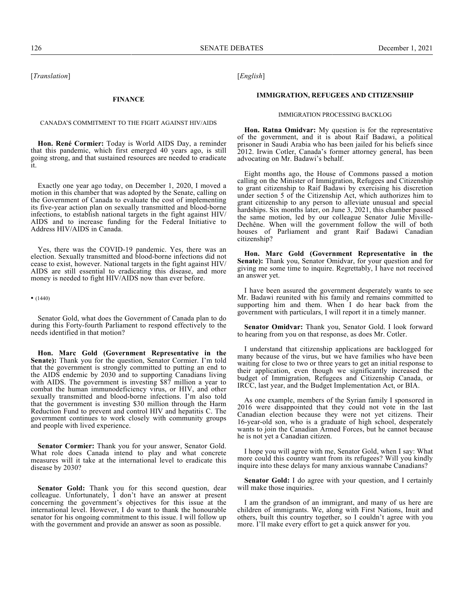[*Translation*]

#### **FINANCE**

### CANADA'S COMMITMENT TO THE FIGHT AGAINST HIV/AIDS

**Hon. René Cormier:** Today is World AIDS Day, a reminder that this pandemic, which first emerged 40 years ago, is still going strong, and that sustained resources are needed to eradicate it.

Exactly one year ago today, on December 1, 2020, I moved a motion in this chamber that was adopted by the Senate, calling on the Government of Canada to evaluate the cost of implementing its five-year action plan on sexually transmitted and blood-borne infections, to establish national targets in the fight against HIV/ AIDS and to increase funding for the Federal Initiative to Address HIV/AIDS in Canada.

Yes, there was the COVID-19 pandemic. Yes, there was an election. Sexually transmitted and blood-borne infections did not cease to exist, however. National targets in the fight against HIV/ AIDS are still essential to eradicating this disease, and more money is needed to fight HIV/AIDS now than ever before.

• (1440)

Senator Gold, what does the Government of Canada plan to do during this Forty-fourth Parliament to respond effectively to the needs identified in that motion?

**Hon. Marc Gold (Government Representative in the Senate):** Thank you for the question, Senator Cormier. I'm told that the government is strongly committed to putting an end to the AIDS endemic by 2030 and to supporting Canadians living with AIDS. The government is investing \$87 million a year to combat the human immunodeficiency virus, or HIV, and other sexually transmitted and blood-borne infections. I'm also told that the government is investing \$30 million through the Harm Reduction Fund to prevent and control HIV and hepatitis C. The government continues to work closely with community groups and people with lived experience.

**Senator Cormier:** Thank you for your answer, Senator Gold. What role does Canada intend to play and what concrete measures will it take at the international level to eradicate this disease by 2030?

**Senator Gold:** Thank you for this second question, dear colleague. Unfortunately, I don't have an answer at present concerning the government's objectives for this issue at the international level. However, I do want to thank the honourable senator for his ongoing commitment to this issue. I will follow up with the government and provide an answer as soon as possible.

[*English*]

#### **IMMIGRATION, REFUGEES AND CITIZENSHIP**

#### IMMIGRATION PROCESSING BACKLOG

**Hon. Ratna Omidvar:** My question is for the representative of the government, and it is about Raif Badawi, a political prisoner in Saudi Arabia who has been jailed for his beliefs since 2012. Irwin Cotler, Canada's former attorney general, has been advocating on Mr. Badawi's behalf.

Eight months ago, the House of Commons passed a motion calling on the Minister of Immigration, Refugees and Citizenship to grant citizenship to Raif Badawi by exercising his discretion under section 5 of the Citizenship Act, which authorizes him to grant citizenship to any person to alleviate unusual and special hardships. Six months later, on June 3, 2021, this chamber passed the same motion, led by our colleague Senator Julie Miville-Dechêne. When will the government follow the will of both houses of Parliament and grant Raif Badawi Canadian citizenship?

**Hon. Marc Gold (Government Representative in the Senate):** Thank you, Senator Omidvar, for your question and for giving me some time to inquire. Regrettably, I have not received an answer yet.

I have been assured the government desperately wants to see Mr. Badawi reunited with his family and remains committed to supporting him and them. When I do hear back from the government with particulars, I will report it in a timely manner.

**Senator Omidvar:** Thank you, Senator Gold. I look forward to hearing from you on that response, as does Mr. Cotler.

I understand that citizenship applications are backlogged for many because of the virus, but we have families who have been waiting for close to two or three years to get an initial response to their application, even though we significantly increased the budget of Immigration, Refugees and Citizenship Canada, or IRCC, last year, and the Budget Implementation Act, or BIA.

As one example, members of the Syrian family I sponsored in 2016 were disappointed that they could not vote in the last Canadian election because they were not yet citizens. Their 16‑year-old son, who is a graduate of high school, desperately wants to join the Canadian Armed Forces, but he cannot because he is not yet a Canadian citizen.

I hope you will agree with me, Senator Gold, when I say: What more could this country want from its refugees? Will you kindly inquire into these delays for many anxious wannabe Canadians?

**Senator Gold:** I do agree with your question, and I certainly will make those inquiries.

I am the grandson of an immigrant, and many of us here are children of immigrants. We, along with First Nations, Inuit and others, built this country together, so I couldn't agree with you more. I'll make every effort to get a quick answer for you.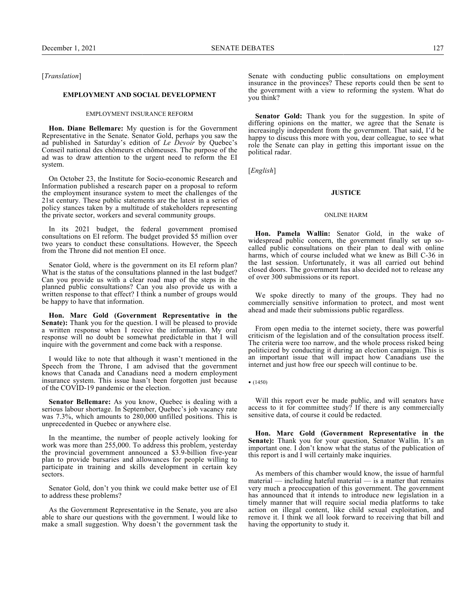[*Translation*]

### **EMPLOYMENT AND SOCIAL DEVELOPMENT**

#### EMPLOYMENT INSURANCE REFORM

**Hon. Diane Bellemare:** My question is for the Government Representative in the Senate. Senator Gold, perhaps you saw the ad published in Saturday's edition of *Le Devoir* by Quebec's Conseil national des chômeurs et chômeuses. The purpose of the ad was to draw attention to the urgent need to reform the EI system.

On October 23, the Institute for Socio-economic Research and Information published a research paper on a proposal to reform the employment insurance system to meet the challenges of the 21st century. These public statements are the latest in a series of policy stances taken by a multitude of stakeholders representing the private sector, workers and several community groups.

In its 2021 budget, the federal government promised consultations on EI reform. The budget provided \$5 million over two years to conduct these consultations. However, the Speech from the Throne did not mention EI once.

Senator Gold, where is the government on its EI reform plan? What is the status of the consultations planned in the last budget? Can you provide us with a clear road map of the steps in the planned public consultations? Can you also provide us with a written response to that effect? I think a number of groups would be happy to have that information.

**Hon. Marc Gold (Government Representative in the Senate):** Thank you for the question. I will be pleased to provide a written response when I receive the information. My oral response will no doubt be somewhat predictable in that I will inquire with the government and come back with a response.

I would like to note that although it wasn't mentioned in the Speech from the Throne, I am advised that the government knows that Canada and Canadians need a modern employment insurance system. This issue hasn't been forgotten just because of the COVID-19 pandemic or the election.

**Senator Bellemare:** As you know, Quebec is dealing with a serious labour shortage. In September, Quebec's job vacancy rate was 7.3%, which amounts to 280,000 unfilled positions. This is unprecedented in Quebec or anywhere else.

In the meantime, the number of people actively looking for work was more than 255,000. To address this problem, yesterday the provincial government announced a \$3.9-billion five-year plan to provide bursaries and allowances for people willing to participate in training and skills development in certain key sectors.

Senator Gold, don't you think we could make better use of EI to address these problems?

As the Government Representative in the Senate, you are also able to share our questions with the government. I would like to make a small suggestion. Why doesn't the government task the

Senate with conducting public consultations on employment insurance in the provinces? These reports could then be sent to the government with a view to reforming the system. What do you think?

**Senator Gold:** Thank you for the suggestion. In spite of differing opinions on the matter, we agree that the Senate is increasingly independent from the government. That said, I'd be happy to discuss this more with you, dear colleague, to see what role the Senate can play in getting this important issue on the political radar.

[*English*]

#### **JUSTICE**

#### ONLINE HARM

**Hon. Pamela Wallin:** Senator Gold, in the wake of widespread public concern, the government finally set up socalled public consultations on their plan to deal with online harms, which of course included what we knew as Bill C-36 in the last session. Unfortunately, it was all carried out behind closed doors. The government has also decided not to release any of over 300 submissions or its report.

We spoke directly to many of the groups. They had no commercially sensitive information to protect, and most went ahead and made their submissions public regardless.

From open media to the internet society, there was powerful criticism of the legislation and of the consultation process itself. The criteria were too narrow, and the whole process risked being politicized by conducting it during an election campaign. This is an important issue that will impact how Canadians use the internet and just how free our speech will continue to be.

 $\bullet$  (1450)

Will this report ever be made public, and will senators have access to it for committee study? If there is any commercially sensitive data, of course it could be redacted.

**Hon. Marc Gold (Government Representative in the Senate):** Thank you for your question, Senator Wallin. It's an important one. I don't know what the status of the publication of this report is and I will certainly make inquiries.

As members of this chamber would know, the issue of harmful material — including hateful material — is a matter that remains very much a preoccupation of this government. The government has announced that it intends to introduce new legislation in a timely manner that will require social media platforms to take action on illegal content, like child sexual exploitation, and remove it. I think we all look forward to receiving that bill and having the opportunity to study it.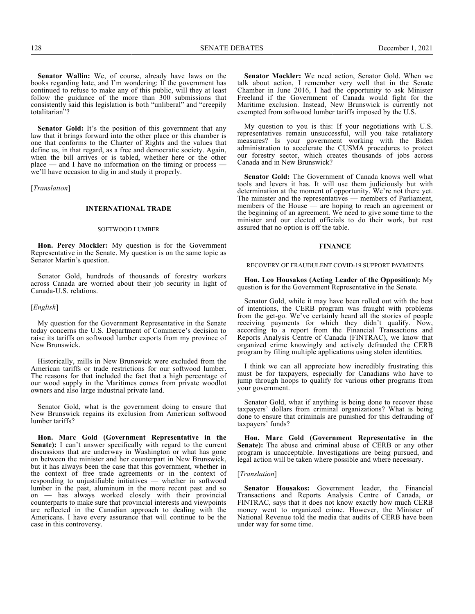**Senator Wallin:** We, of course, already have laws on the books regarding hate, and I'm wondering: If the government has continued to refuse to make any of this public, will they at least follow the guidance of the more than 300 submissions that consistently said this legislation is both "unliberal" and "creepily totalitarian"?

**Senator Gold:** It's the position of this government that any law that it brings forward into the other place or this chamber is one that conforms to the Charter of Rights and the values that define us, in that regard, as a free and democratic society. Again, when the bill arrives or is tabled, whether here or the other place — and I have no information on the timing or process we'll have occasion to dig in and study it properly.

[*Translation*]

### **INTERNATIONAL TRADE**

#### SOFTWOOD LUMBER

**Hon. Percy Mockler:** My question is for the Government Representative in the Senate. My question is on the same topic as Senator Martin's question.

Senator Gold, hundreds of thousands of forestry workers across Canada are worried about their job security in light of Canada-U.S. relations.

#### [*English*]

My question for the Government Representative in the Senate today concerns the U.S. Department of Commerce's decision to raise its tariffs on softwood lumber exports from my province of New Brunswick.

Historically, mills in New Brunswick were excluded from the American tariffs or trade restrictions for our softwood lumber. The reasons for that included the fact that a high percentage of our wood supply in the Maritimes comes from private woodlot owners and also large industrial private land.

Senator Gold, what is the government doing to ensure that New Brunswick regains its exclusion from American softwood lumber tariffs?

**Hon. Marc Gold (Government Representative in the Senate):** I can't answer specifically with regard to the current discussions that are underway in Washington or what has gone on between the minister and her counterpart in New Brunswick, but it has always been the case that this government, whether in the context of free trade agreements or in the context of responding to unjustifiable initiatives — whether in softwood lumber in the past, aluminum in the more recent past and so on — has always worked closely with their provincial counterparts to make sure that provincial interests and viewpoints are reflected in the Canadian approach to dealing with the Americans. I have every assurance that will continue to be the case in this controversy.

**Senator Mockler:** We need action, Senator Gold. When we talk about action, I remember very well that in the Senate Chamber in June 2016, I had the opportunity to ask Minister Freeland if the Government of Canada would fight for the Maritime exclusion. Instead, New Brunswick is currently not exempted from softwood lumber tariffs imposed by the U.S.

My question to you is this: If your negotiations with U.S. representatives remain unsuccessful, will you take retaliatory measures? Is your government working with the Biden administration to accelerate the CUSMA procedures to protect our forestry sector, which creates thousands of jobs across Canada and in New Brunswick?

**Senator Gold:** The Government of Canada knows well what tools and levers it has. It will use them judiciously but with determination at the moment of opportunity. We're not there yet. The minister and the representatives — members of Parliament, members of the House — are hoping to reach an agreement or the beginning of an agreement. We need to give some time to the minister and our elected officials to do their work, but rest assured that no option is off the table.

#### **FINANCE**

#### RECOVERY OF FRAUDULENT COVID-19 SUPPORT PAYMENTS

**Hon. Leo Housakos (Acting Leader of the Opposition):** My question is for the Government Representative in the Senate.

Senator Gold, while it may have been rolled out with the best of intentions, the CERB program was fraught with problems from the get-go. We've certainly heard all the stories of people receiving payments for which they didn't qualify. Now, according to a report from the Financial Transactions and Reports Analysis Centre of Canada (FINTRAC), we know that organized crime knowingly and actively defrauded the CERB program by filing multiple applications using stolen identities.

I think we can all appreciate how incredibly frustrating this must be for taxpayers, especially for Canadians who have to jump through hoops to qualify for various other programs from your government.

Senator Gold, what if anything is being done to recover these taxpayers' dollars from criminal organizations? What is being done to ensure that criminals are punished for this defrauding of taxpayers' funds?

**Hon. Marc Gold (Government Representative in the Senate):** The abuse and criminal abuse of CERB or any other program is unacceptable. Investigations are being pursued, and legal action will be taken where possible and where necessary.

#### [*Translation*]

**Senator Housakos:** Government leader, the Financial Transactions and Reports Analysis Centre of Canada, or FINTRAC, says that it does not know exactly how much CERB money went to organized crime. However, the Minister of National Revenue told the media that audits of CERB have been under way for some time.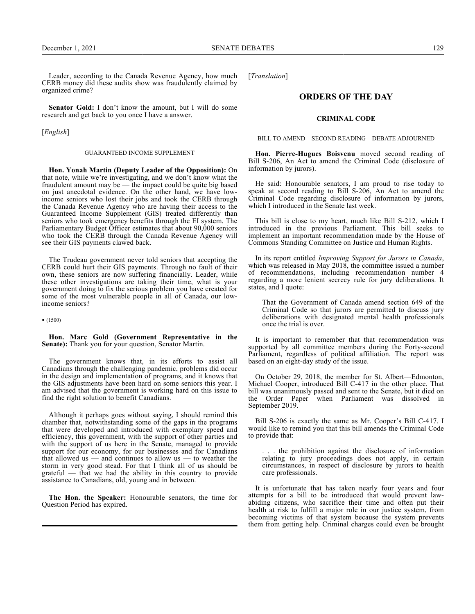Leader, according to the Canada Revenue Agency, how much CERB money did these audits show was fraudulently claimed by organized crime?

**Senator Gold:** I don't know the amount, but I will do some research and get back to you once I have a answer.

[*English*]

### GUARANTEED INCOME SUPPLEMENT

**Hon. Yonah Martin (Deputy Leader of the Opposition):** On that note, while we're investigating, and we don't know what the fraudulent amount may be — the impact could be quite big based on just anecdotal evidence. On the other hand, we have lowincome seniors who lost their jobs and took the CERB through the Canada Revenue Agency who are having their access to the Guaranteed Income Supplement (GIS) treated differently than seniors who took emergency benefits through the EI system. The Parliamentary Budget Officer estimates that about 90,000 seniors who took the CERB through the Canada Revenue Agency will see their GIS payments clawed back.

The Trudeau government never told seniors that accepting the CERB could hurt their GIS payments. Through no fault of their own, these seniors are now suffering financially. Leader, while these other investigations are taking their time, what is your government doing to fix the serious problem you have created for some of the most vulnerable people in all of Canada, our lowincome seniors?

• (1500)

**Hon. Marc Gold (Government Representative in the** Senate): Thank you for your question, Senator Martin.

The government knows that, in its efforts to assist all Canadians through the challenging pandemic, problems did occur in the design and implementation of programs, and it knows that the GIS adjustments have been hard on some seniors this year. I am advised that the government is working hard on this issue to find the right solution to benefit Canadians.

Although it perhaps goes without saying, I should remind this chamber that, notwithstanding some of the gaps in the programs that were developed and introduced with exemplary speed and efficiency, this government, with the support of other parties and with the support of us here in the Senate, managed to provide support for our economy, for our businesses and for Canadians that allowed us — and continues to allow us — to weather the storm in very good stead. For that I think all of us should be grateful — that we had the ability in this country to provide assistance to Canadians, old, young and in between.

**The Hon. the Speaker:** Honourable senators, the time for Question Period has expired.

[*Translation*]

## **ORDERS OF THE DAY**

#### **CRIMINAL CODE**

#### BILL TO AMEND—SECOND READING—DEBATE ADJOURNED

**Hon. Pierre-Hugues Boisvenu** moved second reading of Bill S-206, An Act to amend the Criminal Code (disclosure of information by jurors).

He said: Honourable senators, I am proud to rise today to speak at second reading to Bill S-206, An Act to amend the Criminal Code regarding disclosure of information by jurors, which I introduced in the Senate last week.

This bill is close to my heart, much like Bill S-212, which I introduced in the previous Parliament. This bill seeks to implement an important recommendation made by the House of Commons Standing Committee on Justice and Human Rights.

In its report entitled *Improving Support for Jurors in Canada*, which was released in May 2018, the committee issued a number of recommendations, including recommendation number 4 regarding a more lenient secrecy rule for jury deliberations. It states, and I quote:

That the Government of Canada amend section 649 of the Criminal Code so that jurors are permitted to discuss jury deliberations with designated mental health professionals once the trial is over.

It is important to remember that that recommendation was supported by all committee members during the Forty-second Parliament, regardless of political affiliation. The report was based on an eight-day study of the issue.

On October 29, 2018, the member for St. Albert—Edmonton, Michael Cooper, introduced Bill C-417 in the other place. That bill was unanimously passed and sent to the Senate, but it died on the Order Paper when Parliament was dissolved in September 2019.

Bill S-206 is exactly the same as Mr. Cooper's Bill C-417. I would like to remind you that this bill amends the Criminal Code to provide that:

. the prohibition against the disclosure of information relating to jury proceedings does not apply, in certain circumstances, in respect of disclosure by jurors to health care professionals.

It is unfortunate that has taken nearly four years and four attempts for a bill to be introduced that would prevent lawabiding citizens, who sacrifice their time and often put their health at risk to fulfill a major role in our justice system, from becoming victims of that system because the system prevents them from getting help. Criminal charges could even be brought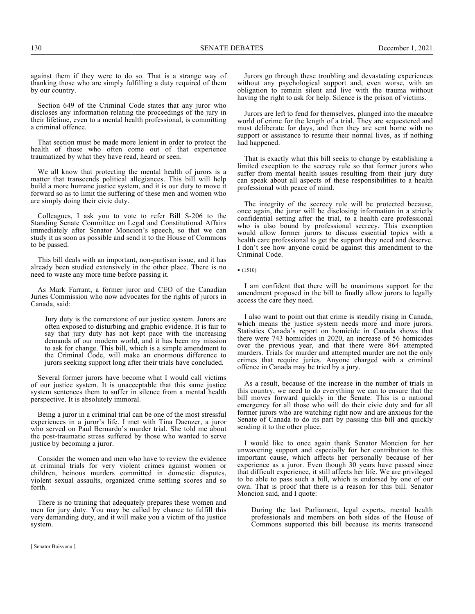130 SENATE DEBATES December 1, 2021

against them if they were to do so. That is a strange way of thanking those who are simply fulfilling a duty required of them by our country.

Section 649 of the Criminal Code states that any juror who discloses any information relating the proceedings of the jury in their lifetime, even to a mental health professional, is committing a criminal offence.

That section must be made more lenient in order to protect the health of those who often come out of that experience traumatized by what they have read, heard or seen.

We all know that protecting the mental health of jurors is a matter that transcends political allegiances. This bill will help build a more humane justice system, and it is our duty to move it forward so as to limit the suffering of these men and women who are simply doing their civic duty.

Colleagues, I ask you to vote to refer Bill S-206 to the Standing Senate Committee on Legal and Constitutional Affairs immediately after Senator Moncion's speech, so that we can study it as soon as possible and send it to the House of Commons to be passed.

This bill deals with an important, non-partisan issue, and it has already been studied extensively in the other place. There is no need to waste any more time before passing it.

As Mark Farrant, a former juror and CEO of the Canadian Juries Commission who now advocates for the rights of jurors in Canada, said:

Jury duty is the cornerstone of our justice system. Jurors are often exposed to disturbing and graphic evidence. It is fair to say that jury duty has not kept pace with the increasing demands of our modern world, and it has been my mission to ask for change. This bill, which is a simple amendment to the Criminal Code, will make an enormous difference to jurors seeking support long after their trials have concluded.

Several former jurors have become what I would call victims of our justice system. It is unacceptable that this same justice system sentences them to suffer in silence from a mental health perspective. It is absolutely immoral.

Being a juror in a criminal trial can be one of the most stressful experiences in a juror's life. I met with Tina Daenzer, a juror who served on Paul Bernardo's murder trial. She told me about the post-traumatic stress suffered by those who wanted to serve justice by becoming a juror.

Consider the women and men who have to review the evidence at criminal trials for very violent crimes against women or children, heinous murders committed in domestic disputes, violent sexual assaults, organized crime settling scores and so forth.

There is no training that adequately prepares these women and men for jury duty. You may be called by chance to fulfill this very demanding duty, and it will make you a victim of the justice system.

[ Senator Boisvenu ]

Jurors go through these troubling and devastating experiences without any psychological support and, even worse, with an obligation to remain silent and live with the trauma without having the right to ask for help. Silence is the prison of victims.

Jurors are left to fend for themselves, plunged into the macabre world of crime for the length of a trial. They are sequestered and must deliberate for days, and then they are sent home with no support or assistance to resume their normal lives, as if nothing had happened.

That is exactly what this bill seeks to change by establishing a limited exception to the secrecy rule so that former jurors who suffer from mental health issues resulting from their jury duty can speak about all aspects of these responsibilities to a health professional with peace of mind.

The integrity of the secrecy rule will be protected because, once again, the juror will be disclosing information in a strictly confidential setting after the trial, to a health care professional who is also bound by professional secrecy. This exemption would allow former jurors to discuss essential topics with a health care professional to get the support they need and deserve. I don't see how anyone could be against this amendment to the Criminal Code.

• (1510)

I am confident that there will be unanimous support for the amendment proposed in the bill to finally allow jurors to legally access the care they need.

I also want to point out that crime is steadily rising in Canada, which means the justice system needs more and more jurors. Statistics Canada's report on homicide in Canada shows that there were 743 homicides in 2020, an increase of 56 homicides over the previous year, and that there were 864 attempted murders. Trials for murder and attempted murder are not the only crimes that require juries. Anyone charged with a criminal offence in Canada may be tried by a jury.

As a result, because of the increase in the number of trials in this country, we need to do everything we can to ensure that the bill moves forward quickly in the Senate. This is a national emergency for all those who will do their civic duty and for all former jurors who are watching right now and are anxious for the Senate of Canada to do its part by passing this bill and quickly sending it to the other place.

I would like to once again thank Senator Moncion for her unwavering support and especially for her contribution to this important cause, which affects her personally because of her experience as a juror. Even though  $30$  years have passed since that difficult experience, it still affects her life. We are privileged to be able to pass such a bill, which is endorsed by one of our own. That is proof that there is a reason for this bill. Senator Moncion said, and I quote:

During the last Parliament, legal experts, mental health professionals and members on both sides of the House of Commons supported this bill because its merits transcend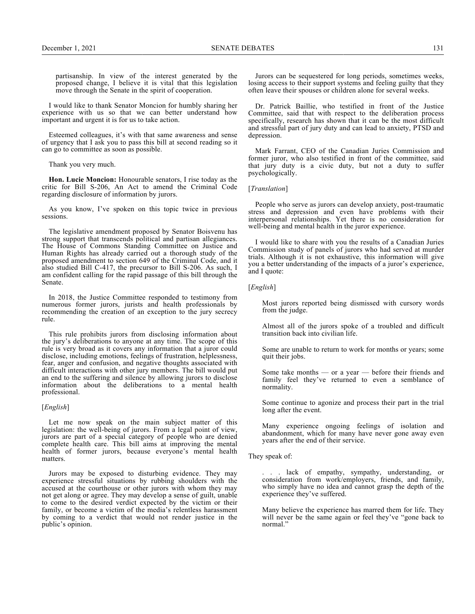I would like to thank Senator Moncion for humbly sharing her experience with us so that we can better understand how important and urgent it is for us to take action.

Esteemed colleagues, it's with that same awareness and sense of urgency that I ask you to pass this bill at second reading so it can go to committee as soon as possible.

Thank you very much.

**Hon. Lucie Moncion:** Honourable senators, I rise today as the critic for Bill S-206, An Act to amend the Criminal Code regarding disclosure of information by jurors.

As you know, I've spoken on this topic twice in previous sessions.

The legislative amendment proposed by Senator Boisvenu has strong support that transcends political and partisan allegiances. The House of Commons Standing Committee on Justice and Human Rights has already carried out a thorough study of the proposed amendment to section 649 of the Criminal Code, and it also studied Bill C-417, the precursor to Bill S-206. As such, I am confident calling for the rapid passage of this bill through the Senate.

In 2018, the Justice Committee responded to testimony from numerous former jurors, jurists and health professionals by recommending the creation of an exception to the jury secrecy rule.

This rule prohibits jurors from disclosing information about the jury's deliberations to anyone at any time. The scope of this rule is very broad as it covers any information that a juror could disclose, including emotions, feelings of frustration, helplessness, fear, anger and confusion, and negative thoughts associated with difficult interactions with other jury members. The bill would put an end to the suffering and silence by allowing jurors to disclose information about the deliberations to a mental health professional.

### [*English*]

Let me now speak on the main subject matter of this legislation: the well-being of jurors. From a legal point of view, jurors are part of a special category of people who are denied complete health care. This bill aims at improving the mental health of former jurors, because everyone's mental health matters.

Jurors may be exposed to disturbing evidence. They may experience stressful situations by rubbing shoulders with the accused at the courthouse or other jurors with whom they may not get along or agree. They may develop a sense of guilt, unable to come to the desired verdict expected by the victim or their family, or become a victim of the media's relentless harassment by coming to a verdict that would not render justice in the public's opinion.

Jurors can be sequestered for long periods, sometimes weeks, losing access to their support systems and feeling guilty that they often leave their spouses or children alone for several weeks.

Dr. Patrick Baillie, who testified in front of the Justice Committee, said that with respect to the deliberation process specifically, research has shown that it can be the most difficult and stressful part of jury duty and can lead to anxiety, PTSD and depression.

Mark Farrant, CEO of the Canadian Juries Commission and former juror, who also testified in front of the committee, said that jury duty is a civic duty, but not a duty to suffer psychologically.

#### [*Translation*]

People who serve as jurors can develop anxiety, post-traumatic stress and depression and even have problems with their interpersonal relationships. Yet there is no consideration for well-being and mental health in the juror experience.

I would like to share with you the results of a Canadian Juries Commission study of panels of jurors who had served at murder trials. Although it is not exhaustive, this information will give you a better understanding of the impacts of a juror's experience, and I quote:

### [*English*]

Most jurors reported being dismissed with cursory words from the judge.

Almost all of the jurors spoke of a troubled and difficult transition back into civilian life.

Some are unable to return to work for months or years; some quit their jobs.

Some take months — or a year — before their friends and family feel they've returned to even a semblance of normality.

Some continue to agonize and process their part in the trial long after the event.

Many experience ongoing feelings of isolation and abandonment, which for many have never gone away even years after the end of their service.

#### They speak of:

. . . lack of empathy, sympathy, understanding, or consideration from work/employers, friends, and family, who simply have no idea and cannot grasp the depth of the experience they've suffered.

Many believe the experience has marred them for life. They will never be the same again or feel they've "gone back to normal."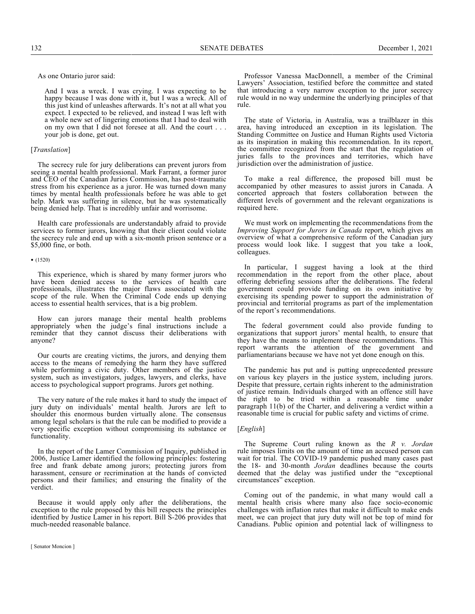As one Ontario juror said:

And I was a wreck. I was crying. I was expecting to be happy because I was done with it, but I was a wreck. All of this just kind of unleashes afterwards. It's not at all what you expect. I expected to be relieved, and instead I was left with a whole new set of lingering emotions that I had to deal with on my own that I did not foresee at all. And the court . . . your job is done, get out.

### [*Translation*]

The secrecy rule for jury deliberations can prevent jurors from seeing a mental health professional. Mark Farrant, a former juror and CEO of the Canadian Juries Commission, has post-traumatic stress from his experience as a juror. He was turned down many times by mental health professionals before he was able to get help. Mark was suffering in silence, but he was systematically being denied help. That is incredibly unfair and worrisome.

Health care professionals are understandably afraid to provide services to former jurors, knowing that their client could violate the secrecy rule and end up with a six-month prison sentence or a \$5,000 fine, or both.

#### • (1520)

This experience, which is shared by many former jurors who have been denied access to the services of health care professionals, illustrates the major flaws associated with the scope of the rule. When the Criminal Code ends up denying access to essential health services, that is a big problem.

How can jurors manage their mental health problems appropriately when the judge's final instructions include a reminder that they cannot discuss their deliberations with anyone?

Our courts are creating victims, the jurors, and denying them access to the means of remedying the harm they have suffered while performing a civic duty. Other members of the justice system, such as investigators, judges, lawyers, and clerks, have access to psychological support programs. Jurors get nothing.

The very nature of the rule makes it hard to study the impact of jury duty on individuals' mental health. Jurors are left to shoulder this enormous burden virtually alone. The consensus among legal scholars is that the rule can be modified to provide a very specific exception without compromising its substance or functionality.

In the report of the Lamer Commission of Inquiry, published in 2006, Justice Lamer identified the following principles: fostering free and frank debate among jurors; protecting jurors from harassment, censure or recrimination at the hands of convicted persons and their families; and ensuring the finality of the verdict.

Because it would apply only after the deliberations, the exception to the rule proposed by this bill respects the principles identified by Justice Lamer in his report. Bill S-206 provides that much-needed reasonable balance.

Professor Vanessa MacDonnell, a member of the Criminal Lawyers' Association, testified before the committee and stated that introducing a very narrow exception to the juror secrecy rule would in no way undermine the underlying principles of that rule.

The state of Victoria, in Australia, was a trailblazer in this area, having introduced an exception in its legislation. The Standing Committee on Justice and Human Rights used Victoria as its inspiration in making this recommendation. In its report, the committee recognized from the start that the regulation of juries falls to the provinces and territories, which have jurisdiction over the administration of justice.

To make a real difference, the proposed bill must be accompanied by other measures to assist jurors in Canada. A concerted approach that fosters collaboration between the different levels of government and the relevant organizations is required here.

We must work on implementing the recommendations from the *Improving Support for Jurors in Canada* report, which gives an overview of what a comprehensive reform of the Canadian jury process would look like. I suggest that you take a look, colleagues.

In particular, I suggest having a look at the third recommendation in the report from the other place, about offering debriefing sessions after the deliberations. The federal government could provide funding on its own initiative by exercising its spending power to support the administration of provincial and territorial programs as part of the implementation of the report's recommendations.

The federal government could also provide funding to organizations that support jurors' mental health, to ensure that they have the means to implement these recommendations. This report warrants the attention of the government and parliamentarians because we have not yet done enough on this.

The pandemic has put and is putting unprecedented pressure on various key players in the justice system, including jurors. Despite that pressure, certain rights inherent to the administration of justice remain. Individuals charged with an offence still have the right to be tried within a reasonable time under paragraph 11(b) of the Charter, and delivering a verdict within a reasonable time is crucial for public safety and victims of crime.

#### [*English*]

The Supreme Court ruling known as the *R v. Jordan* rule imposes limits on the amount of time an accused person can wait for trial. The COVID-19 pandemic pushed many cases past the 18- and 30-month *Jordan* deadlines because the courts deemed that the delay was justified under the "exceptional circumstances" exception.

Coming out of the pandemic, in what many would call a mental health crisis where many also face socio-economic challenges with inflation rates that make it difficult to make ends meet, we can project that jury duty will not be top of mind for Canadians. Public opinion and potential lack of willingness to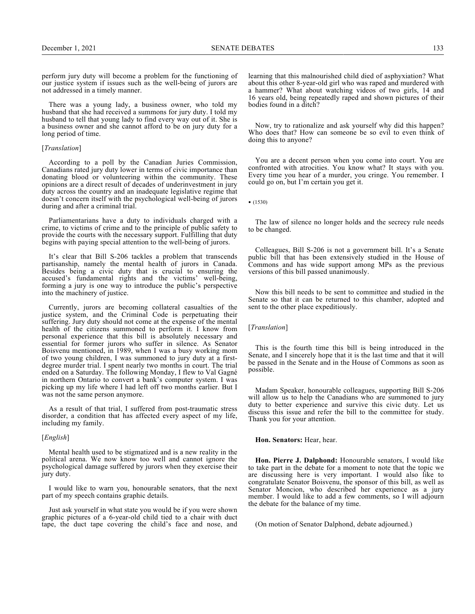perform jury duty will become a problem for the functioning of our justice system if issues such as the well-being of jurors are not addressed in a timely manner.

There was a young lady, a business owner, who told my husband that she had received a summons for jury duty. I told my husband to tell that young lady to find every way out of it. She is a business owner and she cannot afford to be on jury duty for a long period of time.

## [*Translation*]

According to a poll by the Canadian Juries Commission, Canadians rated jury duty lower in terms of civic importance than donating blood or volunteering within the community. These opinions are a direct result of decades of underinvestment in jury duty across the country and an inadequate legislative regime that doesn't concern itself with the psychological well-being of jurors during and after a criminal trial.

Parliamentarians have a duty to individuals charged with a crime, to victims of crime and to the principle of public safety to provide the courts with the necessary support. Fulfilling that duty begins with paying special attention to the well-being of jurors.

It's clear that Bill S-206 tackles a problem that transcends partisanship, namely the mental health of jurors in Canada. Besides being a civic duty that is crucial to ensuring the accused's fundamental rights and the victims' well-being, forming a jury is one way to introduce the public's perspective into the machinery of justice.

Currently, jurors are becoming collateral casualties of the justice system, and the Criminal Code is perpetuating their suffering. Jury duty should not come at the expense of the mental health of the citizens summoned to perform it. I know from personal experience that this bill is absolutely necessary and essential for former jurors who suffer in silence. As Senator Boisvenu mentioned, in 1989, when I was a busy working mom of two young children, I was summoned to jury duty at a firstdegree murder trial. I spent nearly two months in court. The trial ended on a Saturday. The following Monday, I flew to Val Gagné in northern Ontario to convert a bank's computer system. I was picking up my life where I had left off two months earlier. But I was not the same person anymore.

As a result of that trial, I suffered from post-traumatic stress disorder, a condition that has affected every aspect of my life, including my family.

### [*English*]

Mental health used to be stigmatized and is a new reality in the political arena. We now know too well and cannot ignore the psychological damage suffered by jurors when they exercise their jury duty.

I would like to warn you, honourable senators, that the next part of my speech contains graphic details.

Just ask yourself in what state you would be if you were shown graphic pictures of a 6-year-old child tied to a chair with duct tape, the duct tape covering the child's face and nose, and

learning that this malnourished child died of asphyxiation? What about this other 8-year-old girl who was raped and murdered with a hammer? What about watching videos of two girls, 14 and 16 years old, being repeatedly raped and shown pictures of their bodies found in a ditch?

Now, try to rationalize and ask yourself why did this happen? Who does that? How can someone be so evil to even think of doing this to anyone?

You are a decent person when you come into court. You are confronted with atrocities. You know what? It stays with you. Every time you hear of a murder, you cringe. You remember. I could go on, but I'm certain you get it.

• (1530)

The law of silence no longer holds and the secrecy rule needs to be changed.

Colleagues, Bill S-206 is not a government bill. It's a Senate public bill that has been extensively studied in the House of Commons and has wide support among MPs as the previous versions of this bill passed unanimously.

Now this bill needs to be sent to committee and studied in the Senate so that it can be returned to this chamber, adopted and sent to the other place expeditiously.

[*Translation*]

This is the fourth time this bill is being introduced in the Senate, and I sincerely hope that it is the last time and that it will be passed in the Senate and in the House of Commons as soon as possible.

Madam Speaker, honourable colleagues, supporting Bill S-206 will allow us to help the Canadians who are summoned to jury duty to better experience and survive this civic duty. Let us discuss this issue and refer the bill to the committee for study. Thank you for your attention.

**Hon. Senators:** Hear, hear.

**Hon. Pierre J. Dalphond:** Honourable senators, I would like to take part in the debate for a moment to note that the topic we are discussing here is very important. I would also like to congratulate Senator Boisvenu, the sponsor of this bill, as well as Senator Moncion, who described her experience as a jury member. I would like to add a few comments, so I will adjourn the debate for the balance of my time.

(On motion of Senator Dalphond, debate adjourned.)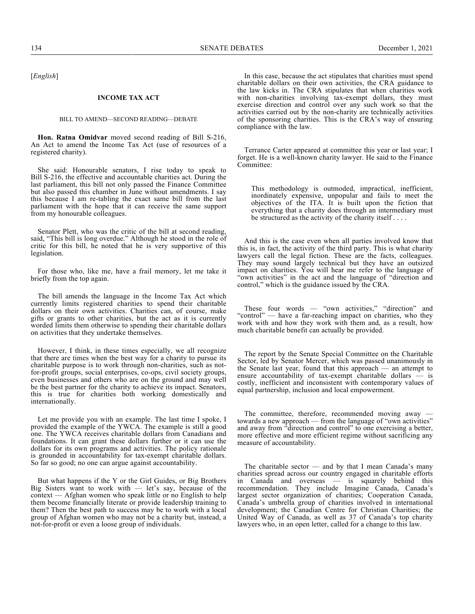[*English*]

#### **INCOME TAX ACT**

### BILL TO AMEND—SECOND READING—DEBATE

**Hon. Ratna Omidvar** moved second reading of Bill S-216, An Act to amend the Income Tax Act (use of resources of a registered charity).

She said: Honourable senators, I rise today to speak to Bill S-216, the effective and accountable charities act. During the last parliament, this bill not only passed the Finance Committee but also passed this chamber in June without amendments. I say this because I am re-tabling the exact same bill from the last parliament with the hope that it can receive the same support from my honourable colleagues.

Senator Plett, who was the critic of the bill at second reading, said, "This bill is long overdue." Although he stood in the role of critic for this bill, he noted that he is very supportive of this legislation.

For those who, like me, have a frail memory, let me take it briefly from the top again.

The bill amends the language in the Income Tax Act which currently limits registered charities to spend their charitable dollars on their own activities. Charities can, of course, make gifts or grants to other charities, but the act as it is currently worded limits them otherwise to spending their charitable dollars on activities that they undertake themselves.

However, I think, in these times especially, we all recognize that there are times when the best way for a charity to pursue its charitable purpose is to work through non-charities, such as notfor-profit groups, social enterprises, co-ops, civil society groups, even businesses and others who are on the ground and may well be the best partner for the charity to achieve its impact. Senators, this is true for charities both working domestically and internationally.

Let me provide you with an example. The last time I spoke, I provided the example of the YWCA. The example is still a good one. The YWCA receives charitable dollars from Canadians and foundations. It can grant these dollars further or it can use the dollars for its own programs and activities. The policy rationale is grounded in accountability for tax-exempt charitable dollars. So far so good; no one can argue against accountability.

But what happens if the Y or the Girl Guides, or Big Brothers Big Sisters want to work with — let's say, because of the context — Afghan women who speak little or no English to help them become financially literate or provide leadership training to them? Then the best path to success may be to work with a local group of Afghan women who may not be a charity but, instead, a not-for-profit or even a loose group of individuals.

In this case, because the act stipulates that charities must spend charitable dollars on their own activities, the CRA guidance to the law kicks in. The CRA stipulates that when charities work with non-charities involving tax-exempt dollars, they must exercise direction and control over any such work so that the activities carried out by the non-charity are technically activities of the sponsoring charities. This is the CRA's way of ensuring compliance with the law.

Terrance Carter appeared at committee this year or last year; I forget. He is a well-known charity lawyer. He said to the Finance Committee:

This methodology is outmoded, impractical, inefficient, inordinately expensive, unpopular and fails to meet the objectives of the ITA. It is built upon the fiction that everything that a charity does through an intermediary must be structured as the activity of the charity itself . . . .

And this is the case even when all parties involved know that this is, in fact, the activity of the third party. This is what charity lawyers call the legal fiction. These are the facts, colleagues. They may sound largely technical but they have an outsized impact on charities. You will hear me refer to the language of "own activities" in the act and the language of "direction and control," which is the guidance issued by the CRA.

These four words — "own activities," "direction" and "control" — have a far-reaching impact on charities, who they work with and how they work with them and, as a result, how much charitable benefit can actually be provided.

The report by the Senate Special Committee on the Charitable Sector, led by Senator Mercer, which was passed unanimously in the Senate last year, found that this approach — an attempt to ensure accountability of tax-exempt charitable dollars  $\frac{1}{x}$  is costly, inefficient and inconsistent with contemporary values of equal partnership, inclusion and local empowerment.

The committee, therefore, recommended moving away towards a new approach — from the language of "own activities" and away from "direction and control" to one exercising a better, more effective and more efficient regime without sacrificing any measure of accountability.

The charitable sector — and by that I mean Canada's many charities spread across our country engaged in charitable efforts is squarely behind this recommendation. They include Imagine Canada, Canada's largest sector organization of charities; Cooperation Canada, Canada's umbrella group of charities involved in international development; the Canadian Centre for Christian Charities; the United Way of Canada, as well as 37 of Canada's top charity lawyers who, in an open letter, called for a change to this law.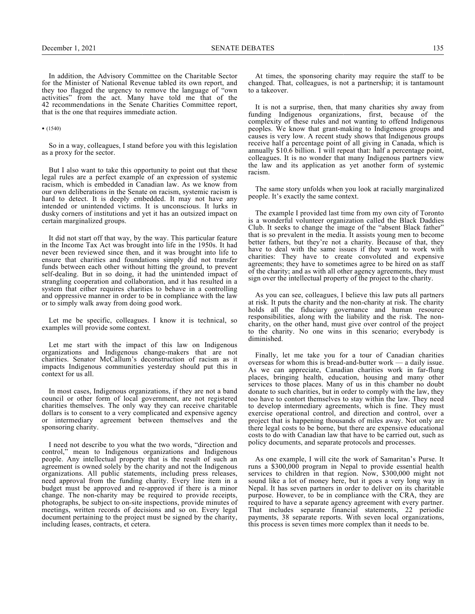In addition, the Advisory Committee on the Charitable Sector for the Minister of National Revenue tabled its own report, and they too flagged the urgency to remove the language of "own activities" from the act. Many have told me that of the 42 recommendations in the Senate Charities Committee report, that is the one that requires immediate action.

• (1540)

So in a way, colleagues, I stand before you with this legislation as a proxy for the sector.

But I also want to take this opportunity to point out that these legal rules are a perfect example of an expression of systemic racism, which is embedded in Canadian law. As we know from our own deliberations in the Senate on racism, systemic racism is hard to detect. It is deeply embedded. It may not have any intended or unintended victims. It is unconscious. It lurks in dusky corners of institutions and yet it has an outsized impact on certain marginalized groups.

It did not start off that way, by the way. This particular feature in the Income Tax Act was brought into life in the 1950s. It had never been reviewed since then, and it was brought into life to ensure that charities and foundations simply did not transfer funds between each other without hitting the ground, to prevent self-dealing. But in so doing, it had the unintended impact of strangling cooperation and collaboration, and it has resulted in a system that either requires charities to behave in a controlling and oppressive manner in order to be in compliance with the law or to simply walk away from doing good work.

Let me be specific, colleagues. I know it is technical, so examples will provide some context.

Let me start with the impact of this law on Indigenous organizations and Indigenous change-makers that are not charities. Senator McCallum's deconstruction of racism as it impacts Indigenous communities yesterday should put this in context for us all.

In most cases, Indigenous organizations, if they are not a band council or other form of local government, are not registered charities themselves. The only way they can receive charitable dollars is to consent to a very complicated and expensive agency or intermediary agreement between themselves and the sponsoring charity.

I need not describe to you what the two words, "direction and control," mean to Indigenous organizations and Indigenous people. Any intellectual property that is the result of such an agreement is owned solely by the charity and not the Indigenous organizations. All public statements, including press releases, need approval from the funding charity. Every line item in a budget must be approved and re-approved if there is a minor change. The non-charity may be required to provide receipts, photographs, be subject to on-site inspections, provide minutes of meetings, written records of decisions and so on. Every legal document pertaining to the project must be signed by the charity, including leases, contracts, et cetera.

At times, the sponsoring charity may require the staff to be changed. That, colleagues, is not a partnership; it is tantamount to a takeover.

It is not a surprise, then, that many charities shy away from funding Indigenous organizations, first, because of the complexity of these rules and not wanting to offend Indigenous peoples. We know that grant-making to Indigenous groups and causes is very low. A recent study shows that Indigenous groups receive half a percentage point of all giving in Canada, which is annually \$10.6 billion. I will repeat that: half a percentage point, colleagues. It is no wonder that many Indigenous partners view the law and its application as yet another form of systemic racism.

The same story unfolds when you look at racially marginalized people. It's exactly the same context.

The example I provided last time from my own city of Toronto is a wonderful volunteer organization called the Black Daddies Club. It seeks to change the image of the "absent Black father" that is so prevalent in the media. It assists young men to become better fathers, but they're not a charity. Because of that, they have to deal with the same issues if they want to work with charities: They have to create convoluted and expensive agreements; they have to sometimes agree to be hired on as staff of the charity; and as with all other agency agreements, they must sign over the intellectual property of the project to the charity.

As you can see, colleagues, I believe this law puts all partners at risk. It puts the charity and the non-charity at risk. The charity holds all the fiduciary governance and human resource responsibilities, along with the liability and the risk. The noncharity, on the other hand, must give over control of the project to the charity. No one wins in this scenario; everybody is diminished.

Finally, let me take you for a tour of Canadian charities overseas for whom this is bread-and-butter work — a daily issue. As we can appreciate, Canadian charities work in far-flung places, bringing health, education, housing and many other services to those places. Many of us in this chamber no doubt donate to such charities, but in order to comply with the law, they too have to contort themselves to stay within the law. They need to develop intermediary agreements, which is fine. They must exercise operational control, and direction and control, over a project that is happening thousands of miles away. Not only are there legal costs to be borne, but there are expensive educational costs to do with Canadian law that have to be carried out, such as policy documents, and separate protocols and processes.

As one example, I will cite the work of Samaritan's Purse. It runs a \$300,000 program in Nepal to provide essential health services to children in that region. Now, \$300,000 might not sound like a lot of money here, but it goes a very long way in Nepal. It has seven partners in order to deliver on its charitable purpose. However, to be in compliance with the CRA, they are required to have a separate agency agreement with every partner. That includes separate financial statements, 22 periodic payments, 38 separate reports. With seven local organizations, this process is seven times more complex than it needs to be.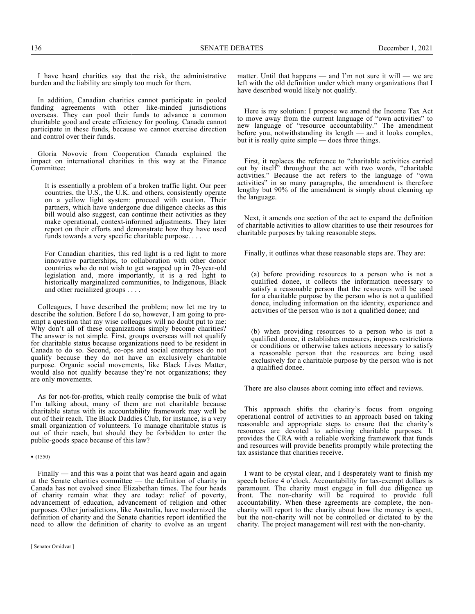136 SENATE DEBATES December 1, 2021

I have heard charities say that the risk, the administrative burden and the liability are simply too much for them.

In addition, Canadian charities cannot participate in pooled funding agreements with other like-minded jurisdictions overseas. They can pool their funds to advance a common charitable good and create efficiency for pooling. Canada cannot participate in these funds, because we cannot exercise direction and control over their funds.

Gloria Novovic from Cooperation Canada explained the impact on international charities in this way at the Finance Committee:

It is essentially a problem of a broken traffic light. Our peer countries, the U.S., the U.K. and others, consistently operate on a yellow light system: proceed with caution. Their partners, which have undergone due diligence checks as this bill would also suggest, can continue their activities as they make operational, context-informed adjustments. They later report on their efforts and demonstrate how they have used funds towards a very specific charitable purpose....

For Canadian charities, this red light is a red light to more innovative partnerships, to collaboration with other donor countries who do not wish to get wrapped up in 70-year-old legislation and, more importantly, it is a red light to historically marginalized communities, to Indigenous, Black and other racialized groups . . . .

Colleagues, I have described the problem; now let me try to describe the solution. Before I do so, however, I am going to preempt a question that my wise colleagues will no doubt put to me: Why don't all of these organizations simply become charities? The answer is not simple. First, groups overseas will not qualify for charitable status because organizations need to be resident in Canada to do so. Second, co-ops and social enterprises do not qualify because they do not have an exclusively charitable purpose. Organic social movements, like Black Lives Matter, would also not qualify because they're not organizations; they are only movements.

As for not-for-profits, which really comprise the bulk of what I'm talking about, many of them are not charitable because charitable status with its accountability framework may well be out of their reach. The Black Daddies Club, for instance, is a very small organization of volunteers. To manage charitable status is out of their reach, but should they be forbidden to enter the public-goods space because of this law?

#### • (1550)

Finally — and this was a point that was heard again and again at the Senate charities committee — the definition of charity in Canada has not evolved since Elizabethan times. The four heads of charity remain what they are today: relief of poverty, advancement of education, advancement of religion and other purposes. Other jurisdictions, like Australia, have modernized the definition of charity and the Senate charities report identified the need to allow the definition of charity to evolve as an urgent matter. Until that happens — and I'm not sure it will — we are left with the old definition under which many organizations that I have described would likely not qualify.

Here is my solution: I propose we amend the Income Tax Act to move away from the current language of "own activities" to new language of "resource accountability." The amendment before you, notwithstanding its length — and it looks complex, but it is really quite simple — does three things.

First, it replaces the reference to "charitable activities carried out by itself<sup>3</sup> throughout the act with two words, "charitable activities." Because the act refers to the language of "own activities" in so many paragraphs, the amendment is therefore lengthy but 90% of the amendment is simply about cleaning up the language.

Next, it amends one section of the act to expand the definition of charitable activities to allow charities to use their resources for charitable purposes by taking reasonable steps.

Finally, it outlines what these reasonable steps are. They are:

(a) before providing resources to a person who is not a qualified donee, it collects the information necessary to satisfy a reasonable person that the resources will be used for a charitable purpose by the person who is not a qualified donee, including information on the identity, experience and activities of the person who is not a qualified donee; and

(b) when providing resources to a person who is not a qualified donee, it establishes measures, imposes restrictions or conditions or otherwise takes actions necessary to satisfy a reasonable person that the resources are being used exclusively for a charitable purpose by the person who is not a qualified donee.

There are also clauses about coming into effect and reviews.

This approach shifts the charity's focus from ongoing operational control of activities to an approach based on taking reasonable and appropriate steps to ensure that the charity's resources are devoted to achieving charitable purposes. It provides the CRA with a reliable working framework that funds and resources will provide benefits promptly while protecting the tax assistance that charities receive.

I want to be crystal clear, and I desperately want to finish my speech before 4 o'clock. Accountability for tax-exempt dollars is paramount. The charity must engage in full due diligence up front. The non-charity will be required to provide full accountability. When these agreements are complete, the noncharity will report to the charity about how the money is spent, but the non-charity will not be controlled or dictated to by the charity. The project management will rest with the non-charity.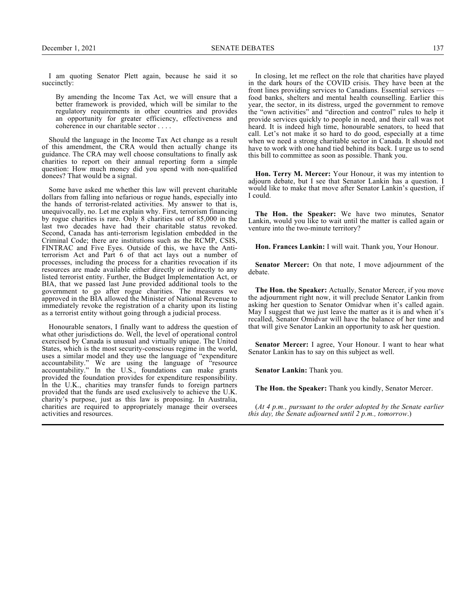I am quoting Senator Plett again, because he said it so succinctly:

By amending the Income Tax Act, we will ensure that a better framework is provided, which will be similar to the regulatory requirements in other countries and provides an opportunity for greater efficiency, effectiveness and coherence in our charitable sector . . . .

Should the language in the Income Tax Act change as a result of this amendment, the CRA would then actually change its guidance. The CRA may well choose consultations to finally ask charities to report on their annual reporting form a simple question: How much money did you spend with non-qualified donees? That would be a signal.

Some have asked me whether this law will prevent charitable dollars from falling into nefarious or rogue hands, especially into the hands of terrorist-related activities. My answer to that is, unequivocally, no. Let me explain why. First, terrorism financing by rogue charities is rare. Only 8 charities out of 85,000 in the last two decades have had their charitable status revoked. Second, Canada has anti-terrorism legislation embedded in the Criminal Code; there are institutions such as the RCMP, CSIS, FINTRAC and Five Eyes. Outside of this, we have the Antiterrorism Act and Part 6 of that act lays out a number of processes, including the process for a charities revocation if its resources are made available either directly or indirectly to any listed terrorist entity. Further, the Budget Implementation Act, or BIA, that we passed last June provided additional tools to the government to go after rogue charities. The measures we approved in the BIA allowed the Minister of National Revenue to immediately revoke the registration of a charity upon its listing as a terrorist entity without going through a judicial process.

Honourable senators, I finally want to address the question of what other jurisdictions do. Well, the level of operational control exercised by Canada is unusual and virtually unique. The United States, which is the most security-conscious regime in the world, uses a similar model and they use the language of "expenditure accountability." We are using the language of "resource accountability." In the U.S., foundations can make grants provided the foundation provides for expenditure responsibility. In the U.K., charities may transfer funds to foreign partners provided that the funds are used exclusively to achieve the U.K. charity's purpose, just as this law is proposing. In Australia, charities are required to appropriately manage their oversees activities and resources.

In closing, let me reflect on the role that charities have played in the dark hours of the COVID crisis. They have been at the front lines providing services to Canadians. Essential services food banks, shelters and mental health counselling. Earlier this year, the sector, in its distress, urged the government to remove the "own activities" and "direction and control" rules to help it provide services quickly to people in need, and their call was not heard. It is indeed high time, honourable senators, to heed that call. Let's not make it so hard to do good, especially at a time when we need a strong charitable sector in Canada. It should not have to work with one hand tied behind its back. I urge us to send this bill to committee as soon as possible. Thank you.

**Hon. Terry M. Mercer:** Your Honour, it was my intention to adjourn debate, but I see that Senator Lankin has a question. I would like to make that move after Senator Lankin's question, if I could.

**The Hon. the Speaker:** We have two minutes, Senator Lankin, would you like to wait until the matter is called again or venture into the two-minute territory?

**Hon. Frances Lankin:** I will wait. Thank you, Your Honour.

**Senator Mercer:** On that note, I move adjournment of the debate.

**The Hon. the Speaker:** Actually, Senator Mercer, if you move the adjournment right now, it will preclude Senator Lankin from asking her question to Senator Omidvar when it's called again. May I suggest that we just leave the matter as it is and when it's recalled, Senator Omidvar will have the balance of her time and that will give Senator Lankin an opportunity to ask her question.

**Senator Mercer:** I agree, Your Honour. I want to hear what Senator Lankin has to say on this subject as well.

**Senator Lankin:** Thank you.

**The Hon. the Speaker:** Thank you kindly, Senator Mercer.

(*At 4 p.m., pursuant to the order adopted by the Senate earlier this day, the Senate adjourned until 2 p.m., tomorrow*.)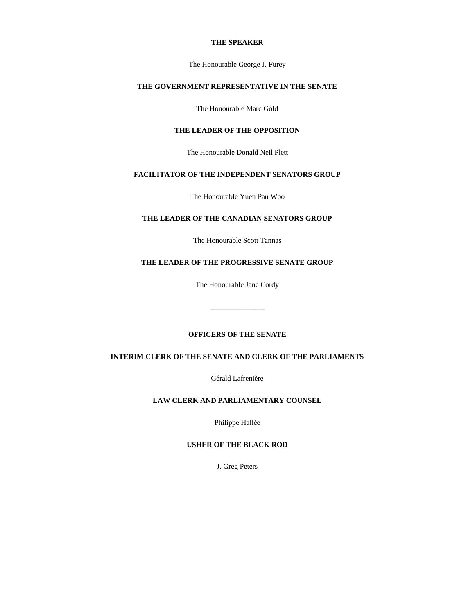## **THE SPEAKER**

The Honourable George J. Furey

# **THE GOVERNMENT REPRESENTATIVE IN THE SENATE**

The Honourable Marc Gold

# **THE LEADER OF THE OPPOSITION**

The Honourable Donald Neil Plett

## **FACILITATOR OF THE INDEPENDENT SENATORS GROUP**

The Honourable Yuen Pau Woo

# **THE LEADER OF THE CANADIAN SENATORS GROUP**

The Honourable Scott Tannas

# **THE LEADER OF THE PROGRESSIVE SENATE GROUP**

The Honourable Jane Cordy

—————

# **OFFICERS OF THE SENATE**

# **INTERIM CLERK OF THE SENATE AND CLERK OF THE PARLIAMENTS**

Gérald Lafrenière

## **LAW CLERK AND PARLIAMENTARY COUNSEL**

Philippe Hallée

# **USHER OF THE BLACK ROD**

J. Greg Peters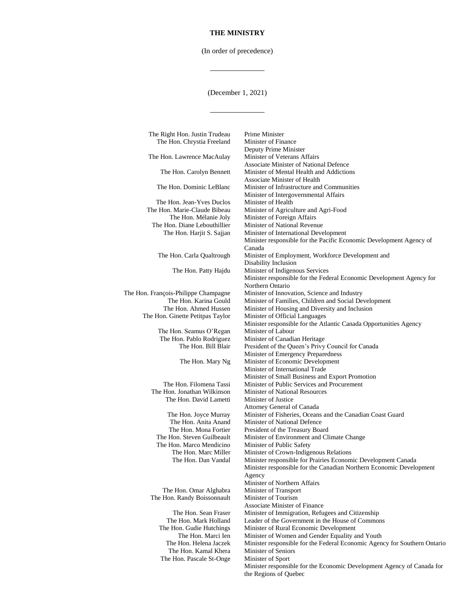(In order of precedence)

—————

(December 1, 2021)

—————

| The Right Hon. Justin Trudeau                         | Prime Minister                                                                                  |
|-------------------------------------------------------|-------------------------------------------------------------------------------------------------|
| The Hon. Chrystia Freeland                            | Minister of Finance                                                                             |
|                                                       | Deputy Prime Minister                                                                           |
| The Hon. Lawrence MacAulay                            | Minister of Veterans Affairs                                                                    |
|                                                       | <b>Associate Minister of National Defence</b>                                                   |
| The Hon. Carolyn Bennett                              | Minister of Mental Health and Addictions                                                        |
|                                                       | Associate Minister of Health                                                                    |
| The Hon. Dominic LeBlanc                              | Minister of Infrastructure and Communities                                                      |
|                                                       | Minister of Intergovernmental Affairs                                                           |
| The Hon. Jean-Yves Duclos                             | Minister of Health                                                                              |
| The Hon. Marie-Claude Bibeau                          | Minister of Agriculture and Agri-Food                                                           |
| The Hon. Mélanie Joly<br>The Hon. Diane Lebouthillier | Minister of Foreign Affairs<br>Minister of National Revenue                                     |
| The Hon. Harjit S. Sajjan                             | Minister of International Development                                                           |
|                                                       | Minister responsible for the Pacific Economic Development Agency of                             |
|                                                       | Canada                                                                                          |
| The Hon. Carla Qualtrough                             | Minister of Employment, Workforce Development and                                               |
|                                                       | Disability Inclusion                                                                            |
| The Hon. Patty Hajdu                                  | Minister of Indigenous Services                                                                 |
|                                                       | Minister responsible for the Federal Economic Development Agency for                            |
|                                                       | Northern Ontario                                                                                |
| The Hon. François-Philippe Champagne                  | Minister of Innovation, Science and Industry                                                    |
| The Hon. Karina Gould                                 | Minister of Families, Children and Social Development                                           |
| The Hon. Ahmed Hussen                                 | Minister of Housing and Diversity and Inclusion                                                 |
| The Hon. Ginette Petitpas Taylor                      | Minister of Official Languages                                                                  |
| The Hon. Seamus O'Regan                               | Minister responsible for the Atlantic Canada Opportunities Agency<br>Minister of Labour         |
| The Hon. Pablo Rodriguez                              | Minister of Canadian Heritage                                                                   |
| The Hon. Bill Blair                                   | President of the Queen's Privy Council for Canada                                               |
|                                                       | Minister of Emergency Preparedness                                                              |
| The Hon. Mary Ng                                      | Minister of Economic Development                                                                |
|                                                       | Minister of International Trade                                                                 |
|                                                       | Minister of Small Business and Export Promotion                                                 |
| The Hon. Filomena Tassi                               | Minister of Public Services and Procurement                                                     |
| The Hon. Jonathan Wilkinson                           | <b>Minister of National Resources</b>                                                           |
| The Hon. David Lametti                                | Minister of Justice                                                                             |
|                                                       | Attorney General of Canada                                                                      |
| The Hon. Joyce Murray                                 | Minister of Fisheries, Oceans and the Canadian Coast Guard                                      |
| The Hon. Anita Anand                                  | Minister of National Defence                                                                    |
| The Hon. Mona Fortier                                 | President of the Treasury Board                                                                 |
| The Hon. Steven Guilbeault                            | Minister of Environment and Climate Change                                                      |
| The Hon. Marco Mendicino<br>The Hon. Marc Miller      | Minister of Public Safety<br>Minister of Crown-Indigenous Relations                             |
| The Hon. Dan Vandal                                   | Minister responsible for Prairies Economic Development Canada                                   |
|                                                       | Minister responsible for the Canadian Northern Economic Development                             |
|                                                       | Agency                                                                                          |
|                                                       | Minister of Northern Affairs                                                                    |
| The Hon. Omar Alghabra                                | Minister of Transport                                                                           |
| The Hon. Randy Boissonnault                           | Minister of Tourism                                                                             |
|                                                       | <b>Associate Minister of Finance</b>                                                            |
| The Hon. Sean Fraser                                  | Minister of Immigration, Refugees and Citizenship                                               |
| The Hon. Mark Holland                                 | Leader of the Government in the House of Commons                                                |
| The Hon. Gudie Hutchings                              | Minister of Rural Economic Development                                                          |
| The Hon. Marci Ien                                    | Minister of Women and Gender Equality and Youth                                                 |
| The Hon. Helena Jaczek                                | Minister responsible for the Federal Economic Agency for Southern Ontario                       |
| The Hon. Kamal Khera                                  | <b>Minister of Seniors</b>                                                                      |
| The Hon. Pascale St-Onge                              | Minister of Sport                                                                               |
|                                                       | Minister responsible for the Economic Development Agency of Canada for<br>the Regions of Quebec |
|                                                       |                                                                                                 |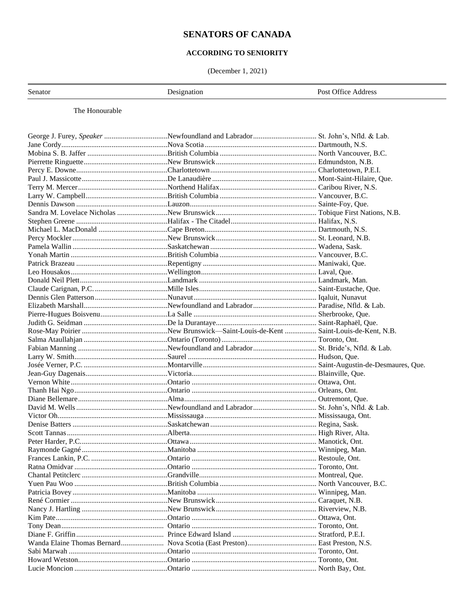# **SENATORS OF CANADA**

# ACCORDING TO SENIORITY

(December 1, 2021)

Senator

Designation

Post Office Address

The Honourable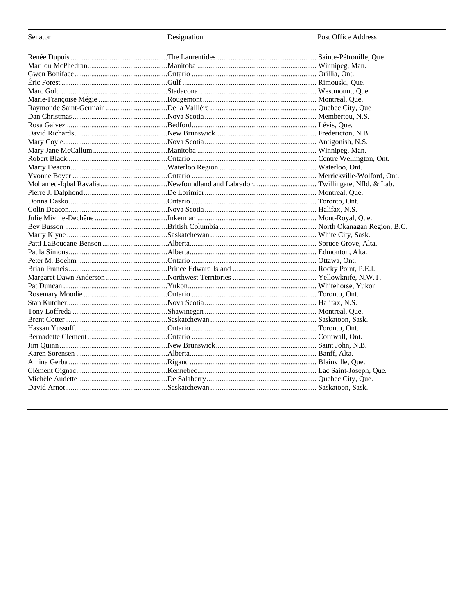| Senator | Designation | Post Office Address |
|---------|-------------|---------------------|
|         |             |                     |
|         |             |                     |
|         |             |                     |
|         |             |                     |
|         |             |                     |
|         |             |                     |
|         |             |                     |
|         |             |                     |
|         |             |                     |
|         |             |                     |
|         |             |                     |
|         |             |                     |
|         |             |                     |
|         |             |                     |
|         |             |                     |
|         |             |                     |
|         |             |                     |
|         |             |                     |
|         |             |                     |
|         |             |                     |
|         |             |                     |
|         |             |                     |
|         |             |                     |
|         |             |                     |
|         |             |                     |
|         |             |                     |
|         |             |                     |
|         |             |                     |
|         |             |                     |
|         |             |                     |
|         |             |                     |
|         |             |                     |
|         |             |                     |
|         |             |                     |
|         |             |                     |
|         |             |                     |
|         |             |                     |
|         |             |                     |
|         |             |                     |
|         |             |                     |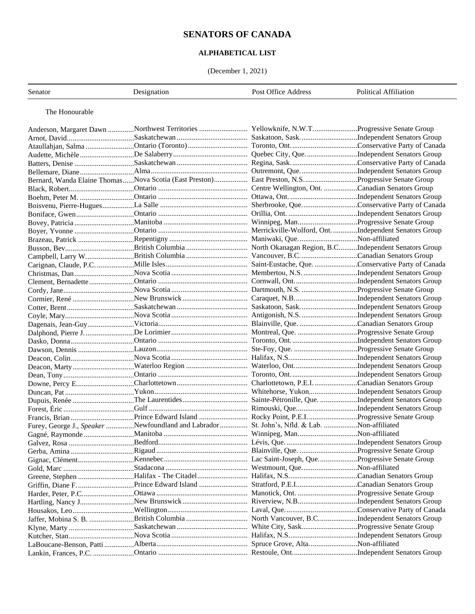# **SENATORS OF CANADA**

# **ALPHABETICAL LIST**

(December 1, 2021)

| Senator        | Designation                                                                                      | Post Office Address | <b>Political Affiliation</b> |
|----------------|--------------------------------------------------------------------------------------------------|---------------------|------------------------------|
| The Honourable |                                                                                                  |                     |                              |
|                | Anderson, Margaret Dawn Northwest Territories  Yellowknife, N.W.TProgressive Senate Group        |                     |                              |
|                |                                                                                                  |                     |                              |
|                |                                                                                                  |                     |                              |
|                |                                                                                                  |                     |                              |
|                |                                                                                                  |                     |                              |
|                |                                                                                                  |                     |                              |
|                | Bernard, Wanda Elaine ThomasNova Scotia (East Preston) East Preston, N.SProgressive Senate Group |                     |                              |
|                |                                                                                                  |                     |                              |
|                |                                                                                                  |                     |                              |
|                |                                                                                                  |                     |                              |
|                |                                                                                                  |                     |                              |
|                |                                                                                                  |                     |                              |
|                |                                                                                                  |                     |                              |
|                |                                                                                                  |                     |                              |
|                |                                                                                                  |                     |                              |
|                |                                                                                                  |                     |                              |
|                |                                                                                                  |                     |                              |
|                |                                                                                                  |                     |                              |
|                |                                                                                                  |                     |                              |
|                |                                                                                                  |                     |                              |
|                |                                                                                                  |                     |                              |
|                |                                                                                                  |                     |                              |
|                |                                                                                                  |                     |                              |
|                |                                                                                                  |                     |                              |
|                |                                                                                                  |                     |                              |
|                |                                                                                                  |                     |                              |
|                |                                                                                                  |                     |                              |
|                |                                                                                                  |                     |                              |
|                |                                                                                                  |                     |                              |
|                |                                                                                                  |                     |                              |
|                |                                                                                                  |                     |                              |
|                |                                                                                                  |                     |                              |
|                | Dupuis, Renée The Laurentides  Sainte-Pétronille, Que. Independent Senators Group                |                     |                              |
|                |                                                                                                  |                     |                              |
|                |                                                                                                  |                     |                              |
|                | Furey, George J., Speaker Newfoundland and Labrador  St. John's, Nfld. & Lab. Non-affiliated     |                     |                              |
|                |                                                                                                  |                     |                              |
|                |                                                                                                  |                     |                              |
|                |                                                                                                  |                     |                              |
|                |                                                                                                  |                     |                              |
|                |                                                                                                  |                     |                              |
|                |                                                                                                  |                     |                              |
|                |                                                                                                  |                     |                              |
|                |                                                                                                  |                     |                              |
|                |                                                                                                  |                     |                              |
|                |                                                                                                  |                     |                              |
|                |                                                                                                  |                     |                              |
|                |                                                                                                  |                     |                              |
|                |                                                                                                  |                     |                              |
|                |                                                                                                  |                     |                              |
|                |                                                                                                  |                     |                              |
|                |                                                                                                  |                     |                              |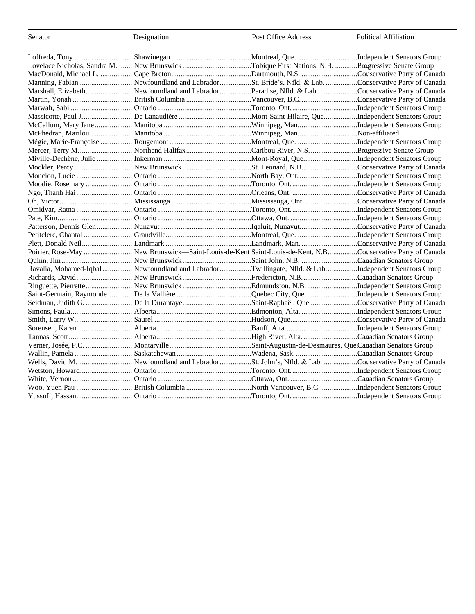| Senator | Designation                                                                                               | Post Office Address | <b>Political Affiliation</b> |
|---------|-----------------------------------------------------------------------------------------------------------|---------------------|------------------------------|
|         |                                                                                                           |                     |                              |
|         |                                                                                                           |                     |                              |
|         | Lovelace Nicholas, Sandra M.  New BrunswickTobique First Nations, N.B. Progressive Senate Group           |                     |                              |
|         |                                                                                                           |                     |                              |
|         |                                                                                                           |                     |                              |
|         |                                                                                                           |                     |                              |
|         |                                                                                                           |                     |                              |
|         |                                                                                                           |                     |                              |
|         |                                                                                                           |                     |                              |
|         |                                                                                                           |                     |                              |
|         |                                                                                                           |                     |                              |
|         |                                                                                                           |                     |                              |
|         |                                                                                                           |                     |                              |
|         |                                                                                                           |                     |                              |
|         |                                                                                                           |                     |                              |
|         |                                                                                                           |                     |                              |
|         |                                                                                                           |                     |                              |
|         |                                                                                                           |                     |                              |
|         |                                                                                                           |                     |                              |
|         |                                                                                                           |                     |                              |
|         |                                                                                                           |                     |                              |
|         |                                                                                                           |                     |                              |
|         |                                                                                                           |                     |                              |
|         |                                                                                                           |                     |                              |
|         | Poirier, Rose-May  New Brunswick-Saint-Louis-de-Kent Saint-Louis-de-Kent, N.BConservative Party of Canada |                     |                              |
|         |                                                                                                           |                     |                              |
|         | Ravalia, Mohamed-Iqbal  Newfoundland and Labrador Twillingate, Nfld. & LabIndependent Senators Group      |                     |                              |
|         |                                                                                                           |                     |                              |
|         |                                                                                                           |                     |                              |
|         |                                                                                                           |                     |                              |
|         |                                                                                                           |                     |                              |
|         |                                                                                                           |                     |                              |
|         |                                                                                                           |                     |                              |
|         |                                                                                                           |                     |                              |
|         |                                                                                                           |                     |                              |
|         |                                                                                                           |                     |                              |
|         |                                                                                                           |                     |                              |
|         |                                                                                                           |                     |                              |
|         |                                                                                                           |                     |                              |
|         |                                                                                                           |                     |                              |
|         |                                                                                                           |                     |                              |
|         |                                                                                                           |                     |                              |
|         |                                                                                                           |                     |                              |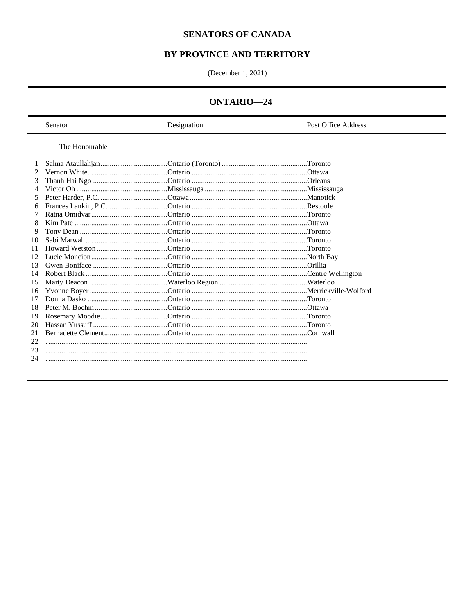# **SENATORS OF CANADA**

# BY PROVINCE AND TERRITORY

(December 1, 2021)

# ONTARIO-24

|    | Senator        | Designation | Post Office Address |
|----|----------------|-------------|---------------------|
|    | The Honourable |             |                     |
|    |                |             |                     |
| 2  |                |             |                     |
| 3  |                |             |                     |
| 4  |                |             |                     |
| 5  |                |             |                     |
| 6  |                |             |                     |
|    |                |             |                     |
| 8  |                |             |                     |
| 9  |                |             |                     |
| 10 |                |             |                     |
| 11 |                |             |                     |
| 12 |                |             |                     |
| 13 |                |             |                     |
| 14 |                |             |                     |
| 15 |                |             |                     |
| 16 |                |             |                     |
| 17 |                |             |                     |
| 18 |                |             |                     |
| 19 |                |             |                     |
| 20 |                |             |                     |
| 21 |                |             |                     |
| 22 |                |             |                     |
| 23 |                |             |                     |
| 24 |                |             |                     |
|    |                |             |                     |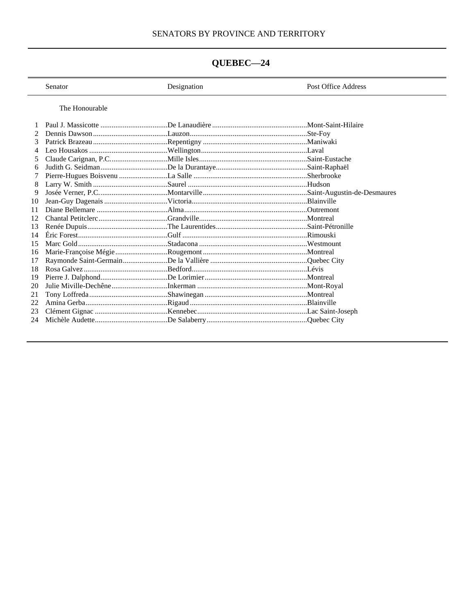# SENATORS BY PROVINCE AND TERRITORY

# QUEBEC-24

|    | Senator        | Designation | Post Office Address |
|----|----------------|-------------|---------------------|
|    | The Honourable |             |                     |
|    |                |             |                     |
|    |                |             |                     |
| 3  |                |             |                     |
|    |                |             |                     |
|    |                |             |                     |
| 6  |                |             |                     |
|    |                |             |                     |
|    |                |             |                     |
| 9  |                |             |                     |
| 10 |                |             |                     |
| 11 |                |             |                     |
|    |                |             |                     |
| 13 |                |             |                     |
| 14 |                |             |                     |
| 15 |                |             |                     |
| 16 |                |             |                     |
| 17 |                |             |                     |
| 18 |                |             |                     |
| 19 |                |             |                     |
| 20 |                |             |                     |
| 21 |                |             |                     |
| 22 |                |             |                     |
| 23 |                |             |                     |
| 24 |                |             |                     |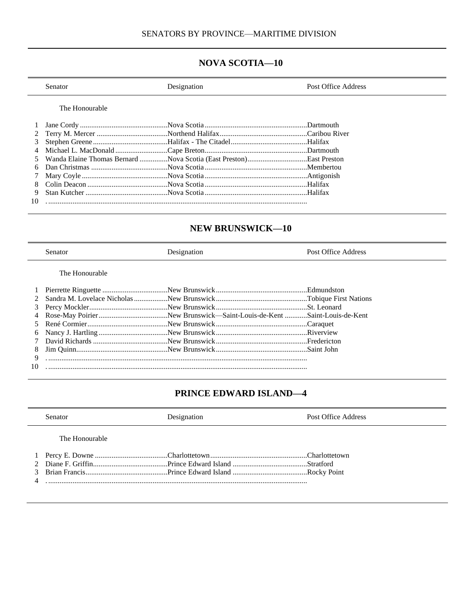# **NOVA SCOTIA—10**

|    | Senator        | Designation                                                          | Post Office Address |
|----|----------------|----------------------------------------------------------------------|---------------------|
|    | The Honourable |                                                                      |                     |
|    |                |                                                                      |                     |
|    |                |                                                                      |                     |
| 3  |                |                                                                      |                     |
|    |                |                                                                      |                     |
|    |                | 5 Wanda Elaine Thomas Bernard Nova Scotia (East Preston)East Preston |                     |
| 6  |                |                                                                      |                     |
|    |                |                                                                      |                     |
| 8  |                |                                                                      |                     |
| 9  |                |                                                                      |                     |
| 10 |                |                                                                      |                     |

# **NEW BRUNSWICK—10**

|    | <b>Senator</b> | Designation | Post Office Address |
|----|----------------|-------------|---------------------|
|    | The Honourable |             |                     |
|    |                |             |                     |
|    |                |             |                     |
|    |                |             |                     |
|    |                |             |                     |
|    |                |             |                     |
| 6  |                |             |                     |
|    |                |             |                     |
| 8  |                |             |                     |
| 9  |                |             |                     |
| 10 |                |             |                     |

# **PRINCE EDWARD ISLAND—4**

| Senator         | Designation | Post Office Address |
|-----------------|-------------|---------------------|
| The Honourable. |             |                     |
|                 |             |                     |
|                 |             |                     |
|                 |             |                     |
|                 |             |                     |
|                 |             |                     |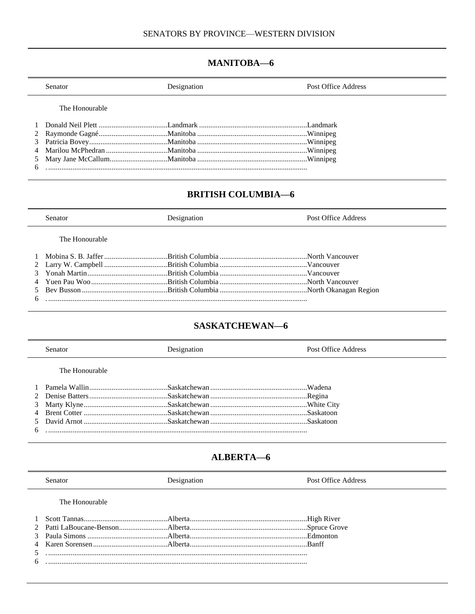# **MANITOBA-6**

| Senator        | Designation | Post Office Address |
|----------------|-------------|---------------------|
| The Honourable |             |                     |
|                |             |                     |
|                |             |                     |
|                |             |                     |
|                |             |                     |
|                |             |                     |
|                |             |                     |
|                |             |                     |

# **BRITISH COLUMBIA-6**

| <b>Senator</b> | Designation | Post Office Address |
|----------------|-------------|---------------------|
| The Honourable |             |                     |
|                |             |                     |
|                |             |                     |
|                |             |                     |
|                |             |                     |
|                |             |                     |
| $6 \left($     |             |                     |

# **SASKATCHEWAN-6**

|   | Senator        | Designation | Post Office Address |
|---|----------------|-------------|---------------------|
|   | The Honourable |             |                     |
|   |                |             |                     |
|   |                |             |                     |
|   |                |             |                     |
|   |                |             |                     |
|   |                |             |                     |
| 6 |                |             |                     |

# ALBERTA-6

| Senator        | Desionation | Post Office Address |
|----------------|-------------|---------------------|
| The Honourable |             |                     |
|                |             |                     |
|                |             |                     |
|                |             |                     |
|                |             |                     |
|                |             |                     |
|                |             |                     |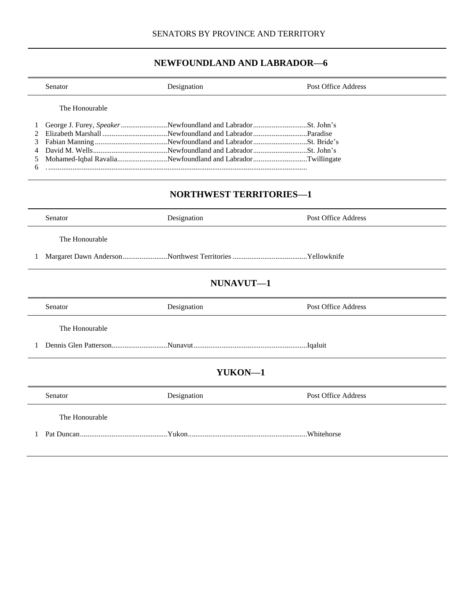# **NEWFOUNDLAND AND LABRADOR—6**

|                            | Senator                        | Designation                                                                                                                | Post Office Address        |  |
|----------------------------|--------------------------------|----------------------------------------------------------------------------------------------------------------------------|----------------------------|--|
| 1<br>2<br>3<br>4<br>5<br>6 | The Honourable                 | George J. Furey, Speaker Newfoundland and Labrador St. John's<br>Mohamed-Iqbal RavaliaNewfoundland and LabradorTwillingate |                            |  |
|                            | <b>NORTHWEST TERRITORIES-1</b> |                                                                                                                            |                            |  |
|                            | Senator                        | Designation                                                                                                                | <b>Post Office Address</b> |  |
|                            | The Honourable                 |                                                                                                                            |                            |  |
| 1                          |                                |                                                                                                                            |                            |  |
|                            |                                | NUNAVUT-1                                                                                                                  |                            |  |
|                            | Senator                        | Designation                                                                                                                | Post Office Address        |  |
|                            | The Honourable                 |                                                                                                                            |                            |  |
| 1                          |                                |                                                                                                                            |                            |  |
| YUKON-1                    |                                |                                                                                                                            |                            |  |
|                            | Senator                        | Designation                                                                                                                | Post Office Address        |  |
|                            | The Honourable                 |                                                                                                                            |                            |  |
| 1                          |                                |                                                                                                                            |                            |  |